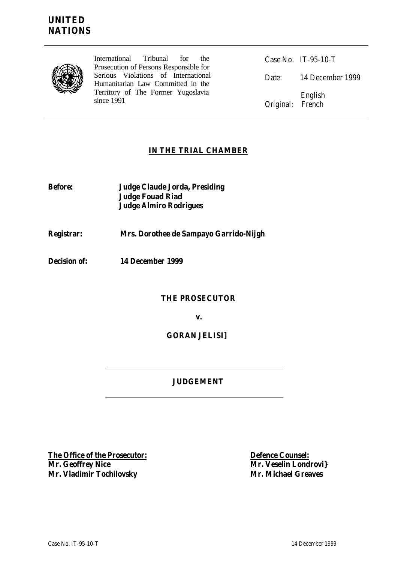

International Tribunal for the Prosecution of Persons Responsible for Serious Violations of International Humanitarian Law Committed in the Territory of The Former Yugoslavia since 1991

Case No. IT-95-10-T Date: 14 December 1999 English Original: French

## **IN THE TRIAL CHAMBER**

**Before: Judge Claude Jorda, Presiding Judge Fouad Riad Judge Almiro Rodrigues**

# **Registrar: Mrs. Dorothee de Sampayo Garrido-Nijgh**

**Decision of: 14 December 1999**

## **THE PROSECUTOR**

**v.**

## **GORAN JELISI]**

## **JUDGEMENT**

**The Office of the Prosecutor: Defence Counsel: Mr. Geoffrey Nice Mr. Veselin Londrovi} Mr. Vladimir Tochilovsky Mr. Michael Greaves**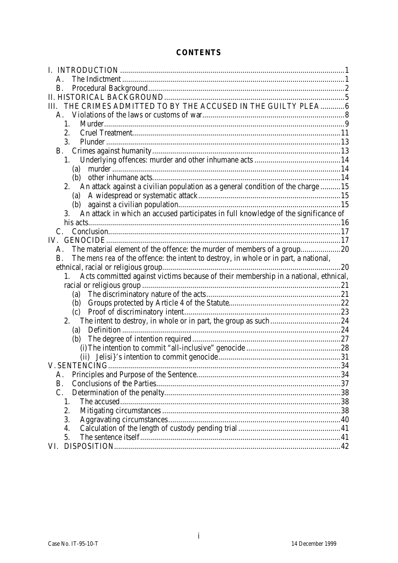## **CONTENTS**

| $A_{\cdot}$                                                                                |  |
|--------------------------------------------------------------------------------------------|--|
| В.                                                                                         |  |
|                                                                                            |  |
| THE CRIMES ADMITTED TO BY THE ACCUSED IN THE GUILTY PLEA6                                  |  |
|                                                                                            |  |
| 1 <sub>1</sub>                                                                             |  |
| 2.                                                                                         |  |
| 3.                                                                                         |  |
|                                                                                            |  |
|                                                                                            |  |
| (a)                                                                                        |  |
| (b)                                                                                        |  |
| 2. An attack against a civilian population as a general condition of the charge 15         |  |
|                                                                                            |  |
|                                                                                            |  |
| 3. An attack in which an accused participates in full knowledge of the significance of     |  |
|                                                                                            |  |
|                                                                                            |  |
| IV.                                                                                        |  |
| The material element of the offence: the murder of members of a group20<br>A.              |  |
| The mens rea of the offence: the intent to destroy, in whole or in part, a national,<br>В. |  |
|                                                                                            |  |
| 1. Acts committed against victims because of their membership in a national, ethnical,     |  |
|                                                                                            |  |
| (a)                                                                                        |  |
|                                                                                            |  |
|                                                                                            |  |
|                                                                                            |  |
| (a)                                                                                        |  |
|                                                                                            |  |
|                                                                                            |  |
|                                                                                            |  |
|                                                                                            |  |
| А.<br>B.                                                                                   |  |
| C.                                                                                         |  |
| 1.                                                                                         |  |
| 2.                                                                                         |  |
| 3.                                                                                         |  |
| 4.                                                                                         |  |
| 5.                                                                                         |  |
| VI.                                                                                        |  |
|                                                                                            |  |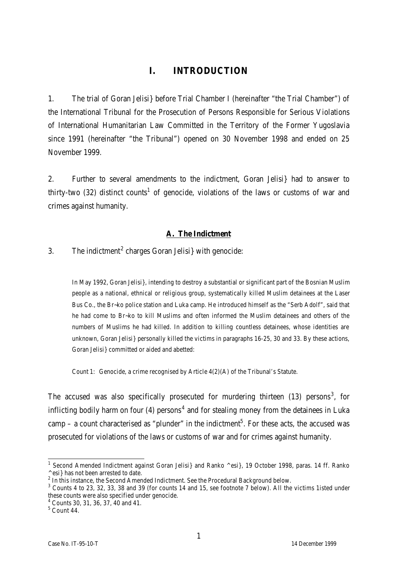# **I. INTRODUCTION**

1. The trial of Goran Jelisi} before Trial Chamber I (hereinafter "the Trial Chamber") of the International Tribunal for the Prosecution of Persons Responsible for Serious Violations of International Humanitarian Law Committed in the Territory of the Former Yugoslavia since 1991 (hereinafter "the Tribunal") opened on 30 November 1998 and ended on 25 November 1999.

2. Further to several amendments to the indictment, Goran Jelisi} had to answer to thirty-two (32) distinct counts<sup>1</sup> of genocide, violations of the laws or customs of war and crimes against humanity.

## **A. The Indictment**

## 3. The indictment<sup>2</sup> charges Goran Jelisi with genocide:

In May 1992, Goran Jelisi}, intending to destroy a substantial or significant part of the Bosnian Muslim people as a national, ethnical or religious group, systematically killed Muslim detainees at the Laser Bus Co., the Br~ko police station and Luka camp. He introduced himself as the "Serb Adolf", said that he had come to Br~ko to kill Muslims and often informed the Muslim detainees and others of the numbers of Muslims he had killed. In addition to killing countless detainees, whose identities are unknown, Goran Jelisi} personally killed the victims in paragraphs 16-25, 30 and 33. By these actions, Goran Jelisi} committed or aided and abetted:

Count 1: Genocide, a crime recognised by Article 4(2)(A) of the Tribunal's Statute.

The accused was also specifically prosecuted for murdering thirteen (13) persons<sup>3</sup>, for inflicting bodily harm on four (4) persons<sup>4</sup> and for stealing money from the detainees in Luka camp – a count characterised as "plunder" in the indictment<sup>5</sup>. For these acts, the accused was prosecuted for violations of the laws or customs of war and for crimes against humanity.

 1 Second Amended Indictment against Goran Jelisi} and Ranko ^esi}, 19 October 1998, paras. 14 ff. Ranko ^esi} has not been arrested to date.

 $2$  In this instance, the Second Amended Indictment. See the Procedural Background below.

 $3$  Counts 4 to 23, 32, 33, 38 and 39 (for counts 14 and 15, see footnote 7 below). All the victims 1isted under these counts were also specified under genocide.

<sup>4</sup> Counts 30, 31, 36, 37, 40 and 41.

 $<sup>5</sup>$  Count 44.</sup>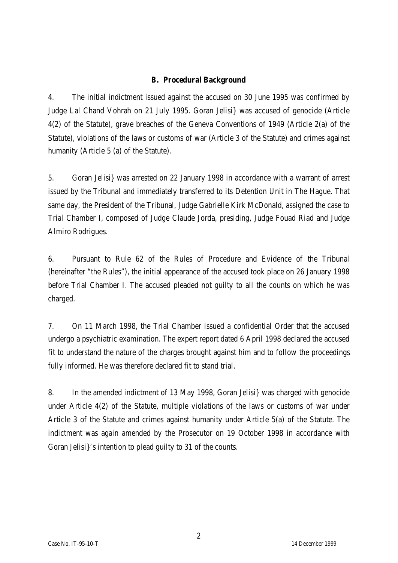## **B. Procedural Background**

4. The initial indictment issued against the accused on 30 June 1995 was confirmed by Judge Lal Chand Vohrah on 21 July 1995. Goran Jelisi} was accused of genocide (Article 4(2) of the Statute), grave breaches of the Geneva Conventions of 1949 (Article 2(a) of the Statute), violations of the laws or customs of war (Article 3 of the Statute) and crimes against humanity (Article 5 (a) of the Statute).

5. Goran Jelisi} was arrested on 22 January 1998 in accordance with a warrant of arrest issued by the Tribunal and immediately transferred to its Detention Unit in The Hague. That same day, the President of the Tribunal, Judge Gabrielle Kirk McDonald, assigned the case to Trial Chamber I, composed of Judge Claude Jorda, presiding, Judge Fouad Riad and Judge Almiro Rodrigues.

6. Pursuant to Rule 62 of the Rules of Procedure and Evidence of the Tribunal (hereinafter "the Rules"), the initial appearance of the accused took place on 26 January 1998 before Trial Chamber I. The accused pleaded not guilty to all the counts on which he was charged.

7. On 11 March 1998, the Trial Chamber issued a confidential Order that the accused undergo a psychiatric examination. The expert report dated 6 April 1998 declared the accused fit to understand the nature of the charges brought against him and to follow the proceedings fully informed. He was therefore declared fit to stand trial.

8. In the amended indictment of 13 May 1998, Goran Jelisi} was charged with genocide under Article 4(2) of the Statute, multiple violations of the laws or customs of war under Article 3 of the Statute and crimes against humanity under Article 5(a) of the Statute. The indictment was again amended by the Prosecutor on 19 October 1998 in accordance with Goran Jelisi}'s intention to plead guilty to 31 of the counts.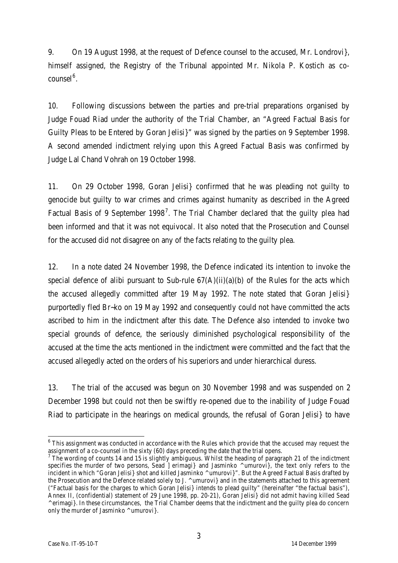9. On 19 August 1998, at the request of Defence counsel to the accused, Mr. Londrovi}, himself assigned, the Registry of the Tribunal appointed Mr. Nikola P. Kostich as cocounsel<sup>6</sup>.

10. Following discussions between the parties and pre-trial preparations organised by Judge Fouad Riad under the authority of the Trial Chamber, an "Agreed Factual Basis for Guilty Pleas to be Entered by Goran Jelisi}" was signed by the parties on 9 September 1998. A second amended indictment relying upon this Agreed Factual Basis was confirmed by Judge Lal Chand Vohrah on 19 October 1998.

11. On 29 October 1998, Goran Jelisi} confirmed that he was pleading not guilty to genocide but guilty to war crimes and crimes against humanity as described in the Agreed Factual Basis of 9 September 1998<sup>7</sup>. The Trial Chamber declared that the guilty plea had been informed and that it was not equivocal. It also noted that the Prosecution and Counsel for the accused did not disagree on any of the facts relating to the guilty plea.

12. In a note dated 24 November 1998, the Defence indicated its intention to invoke the special defence of alibi pursuant to Sub-rule  $67(A)(ii)(a)(b)$  of the Rules for the acts which the accused allegedly committed after 19 May 1992. The note stated that Goran Jelisi} purportedly fled Br~ko on 19 May 1992 and consequently could not have committed the acts ascribed to him in the indictment after this date. The Defence also intended to invoke two special grounds of defence, the seriously diminished psychological responsibility of the accused at the time the acts mentioned in the indictment were committed and the fact that the accused allegedly acted on the orders of his superiors and under hierarchical duress.

13. The trial of the accused was begun on 30 November 1998 and was suspended on 2 December 1998 but could not then be swiftly re-opened due to the inability of Judge Fouad Riad to participate in the hearings on medical grounds, the refusal of Goran Jelisi} to have

 6 This assignment was conducted in accordance with the Rules which provide that the accused may request the assignment of a co-counsel in the sixty (60) days preceding the date that the trial opens.

The wording of counts 14 and 15 is slightly ambiguous. Whilst the heading of paragraph 21 of the indictment specifies the murder of two persons, Sead ]erimagi} and Jasminko ^umurovi}, the text only refers to the incident in which "Goran Jelisi} shot and killed Jasminko ^umurovi}". But the Agreed Factual Basis drafted by the Prosecution and the Defence related solely to J. ^umurovi} and in the statements attached to this agreement ("Factual basis for the charges to which Goran Jelisi} intends to plead guilty" (hereinafter "the factual basis"), Annex II, (confidential) statement of 29 June 1998, pp. 20-21), Goran Jelisi} did not admit having killed Sead ^erimagi}. In these circumstances, the Trial Chamber deems that the indictment and the guilty plea do concern only the murder of Jasminko ^umurovi}.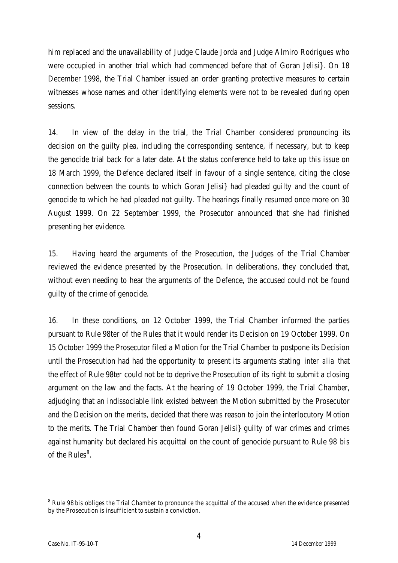him replaced and the unavailability of Judge Claude Jorda and Judge Almiro Rodrigues who were occupied in another trial which had commenced before that of Goran Jelisi}. On 18 December 1998, the Trial Chamber issued an order granting protective measures to certain witnesses whose names and other identifying elements were not to be revealed during open sessions.

14. In view of the delay in the trial, the Trial Chamber considered pronouncing its decision on the guilty plea, including the corresponding sentence, if necessary, but to keep the genocide trial back for a later date. At the status conference held to take up this issue on 18 March 1999, the Defence declared itself in favour of a single sentence, citing the close connection between the counts to which Goran Jelisi} had pleaded guilty and the count of genocide to which he had pleaded not guilty. The hearings finally resumed once more on 30 August 1999. On 22 September 1999, the Prosecutor announced that she had finished presenting her evidence.

15. Having heard the arguments of the Prosecution, the Judges of the Trial Chamber reviewed the evidence presented by the Prosecution. In deliberations, they concluded that, without even needing to hear the arguments of the Defence, the accused could not be found guilty of the crime of genocide.

16. In these conditions, on 12 October 1999, the Trial Chamber informed the parties pursuant to Rule 98*ter* of the Rules that it would render its Decision on 19 October 1999. On 15 October 1999 the Prosecutor filed a Motion for the Trial Chamber to postpone its Decision until the Prosecution had had the opportunity to present its arguments stating *inter alia* that the effect of Rule 98*ter* could not be to deprive the Prosecution of its right to submit a closing argument on the law and the facts. At the hearing of 19 October 1999, the Trial Chamber, adjudging that an indissociable link existed between the Motion submitted by the Prosecutor and the Decision on the merits, decided that there was reason to join the interlocutory Motion to the merits. The Trial Chamber then found Goran Jelisi} guilty of war crimes and crimes against humanity but declared his acquittal on the count of genocide pursuant to Rule 98 *bis* of the Rules $^8$ .

 8 Rule 98 *bis* obliges the Trial Chamber to pronounce the acquittal of the accused when the evidence presented by the Prosecution is insufficient to sustain a conviction.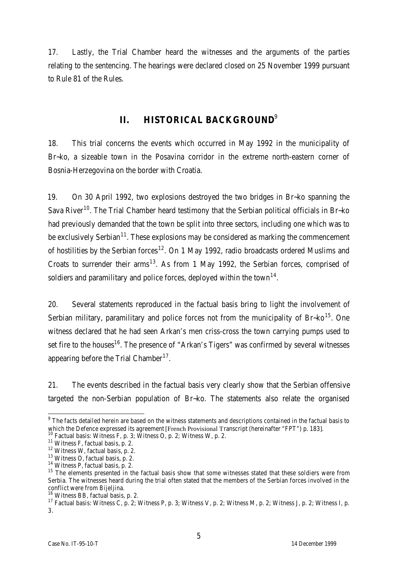17. Lastly, the Trial Chamber heard the witnesses and the arguments of the parties relating to the sentencing. The hearings were declared closed on 25 November 1999 pursuant to Rule 81 of the Rules.

# **II. HISTORICAL BACKGROUND**<sup>9</sup>

18. This trial concerns the events which occurred in May 1992 in the municipality of Br~ko, a sizeable town in the Posavina corridor in the extreme north-eastern corner of Bosnia-Herzegovina on the border with Croatia.

19. On 30 April 1992, two explosions destroyed the two bridges in Br~ko spanning the Sava River<sup>10</sup>. The Trial Chamber heard testimony that the Serbian political officials in Br~ko had previously demanded that the town be split into three sectors, including one which was to be exclusively Serbian<sup>11</sup>. These explosions may be considered as marking the commencement of hostilities by the Serbian forces<sup>12</sup>. On 1 May 1992, radio broadcasts ordered Muslims and Croats to surrender their arms<sup>13</sup>. As from 1 May 1992, the Serbian forces, comprised of soldiers and paramilitary and police forces, deployed within the town $^{14}$ .

20. Several statements reproduced in the factual basis bring to light the involvement of Serbian military, paramilitary and police forces not from the municipality of Br~ko<sup>15</sup>. One witness declared that he had seen Arkan's men criss-cross the town carrying pumps used to set fire to the houses<sup>16</sup>. The presence of "Arkan's Tigers" was confirmed by several witnesses appearing before the Trial Chamber<sup>17</sup>.

21. The events described in the factual basis very clearly show that the Serbian offensive targeted the non-Serbian population of Br~ko. The statements also relate the organised

<sup>&</sup>lt;u>end the facts detailed herein are based on the witness statements and descriptions contained in the factual basis to</u><br>The facts detailed herein are based on the witness statements and descriptions contained in the factual which the Defence expressed its agreement [French Provisional Transcript (hereinafter "FPT") p. 183].

Factual basis: Witness F, p. 3; Witness O, p. 2; Witness W, p. 2.

<sup>11</sup> Witness F, factual basis, p. 2.

<sup>12</sup> Witness W, factual basis, p. 2.

<sup>13</sup> Witness O, factual basis, p. 2.

<sup>14</sup> Witness P, factual basis, p. 2.

<sup>&</sup>lt;sup>15</sup> The elements presented in the factual basis show that some witnesses stated that these soldiers were from Serbia. The witnesses heard during the trial often stated that the members of the Serbian forces involved in the conflict were from Bijeljina.

<sup>16</sup> Witness BB, factual basis, p. 2.

<sup>17</sup> Factual basis: Witness C, p. 2; Witness P, p. 3; Witness V, p. 2; Witness M, p. 2; Witness J, p. 2; Witness I, p. 3.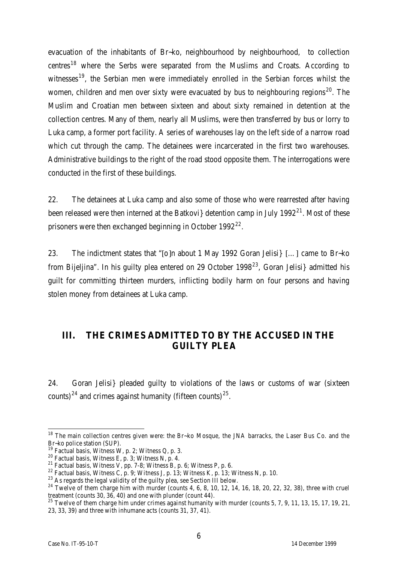evacuation of the inhabitants of Br~ko, neighbourhood by neighbourhood, to collection centres<sup>18</sup> where the Serbs were separated from the Muslims and Croats. According to witnesses<sup>19</sup>, the Serbian men were immediately enrolled in the Serbian forces whilst the women, children and men over sixty were evacuated by bus to neighbouring regions<sup>20</sup>. The Muslim and Croatian men between sixteen and about sixty remained in detention at the collection centres. Many of them, nearly all Muslims, were then transferred by bus or lorry to Luka camp, a former port facility. A series of warehouses lay on the left side of a narrow road which cut through the camp. The detainees were incarcerated in the first two warehouses. Administrative buildings to the right of the road stood opposite them. The interrogations were conducted in the first of these buildings.

22. The detainees at Luka camp and also some of those who were rearrested after having been released were then interned at the Batkovi detention camp in July 1992<sup>21</sup>. Most of these prisoners were then exchanged beginning in October 1992<sup>22</sup>.

23. The indictment states that "[o]n about 1 May 1992 Goran Jelisi} […] came to Br~ko from Bijeljina". In his guilty plea entered on 29 October 1998<sup>23</sup>, Goran Jelisi} admitted his guilt for committing thirteen murders, inflicting bodily harm on four persons and having stolen money from detainees at Luka camp.

# **III. THE CRIMES ADMITTED TO BY THE ACCUSED IN THE GUILTY PLEA**

24. Goran Jelisi} pleaded guilty to violations of the laws or customs of war (sixteen counts)<sup>24</sup> and crimes against humanity (fifteen counts)<sup>25</sup>.

 $\overline{a}$  $18$  The main collection centres given were: the Br~ko Mosque, the JNA barracks, the Laser Bus Co. and the Br~ko police station (SUP).

<sup>&</sup>lt;sup>19</sup> Factual basis, Witness W, p. 2; Witness Q, p. 3.

<sup>&</sup>lt;sup>20</sup> Factual basis, Witness E, p. 3; Witness N, p. 4.

<sup>&</sup>lt;sup>21</sup> Factual basis, Witness V, pp. 7-8; Witness B, p. 6; Witness P, p. 6.

<sup>&</sup>lt;sup>22</sup> Factual basis, Witness C, p. 9; Witness J, p. 13; Witness K, p. 13; Witness N, p. 10.

 $^{23}$  As regards the legal validity of the guilty plea, see Section III below.

 $^{24}$  Twelve of them charge him with murder (counts 4, 6, 8, 10, 12, 14, 16, 18, 20, 22, 32, 38), three with cruel treatment (counts 30, 36, 40) and one with plunder (count 44).

<sup>&</sup>lt;sup>25</sup> Twelve of them charge him under crimes against humanity with murder (counts 5, 7, 9, 11, 13, 15, 17, 19, 21, 23, 33, 39) and three with inhumane acts (counts 31, 37, 41).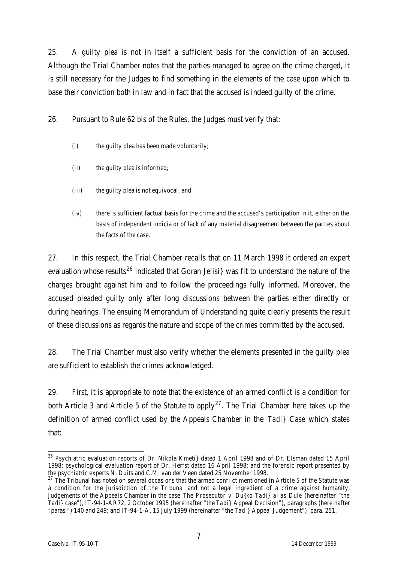25. A guilty plea is not in itself a sufficient basis for the conviction of an accused. Although the Trial Chamber notes that the parties managed to agree on the crime charged, it is still necessary for the Judges to find something in the elements of the case upon which to base their conviction both in law and in fact that the accused is indeed guilty of the crime.

26. Pursuant to Rule 62 *bis* of the Rules, the Judges must verify that:

- (i) the quilty plea has been made voluntarily;
- (ii) the guilty plea is informed;
- (iii) the guilty plea is not equivocal; and
- (iv) there is sufficient factual basis for the crime and the accused's participation in it, either on the basis of independent indicia or of lack of any material disagreement between the parties about the facts of the case.

27. In this respect, the Trial Chamber recalls that on 11 March 1998 it ordered an expert evaluation whose results<sup>26</sup> indicated that Goran Jelisi was fit to understand the nature of the charges brought against him and to follow the proceedings fully informed. Moreover, the accused pleaded guilty only after long discussions between the parties either directly or during hearings. The ensuing Memorandum of Understanding quite clearly presents the result of these discussions as regards the nature and scope of the crimes committed by the accused.

28. The Trial Chamber must also verify whether the elements presented in the guilty plea are sufficient to establish the crimes acknowledged.

29. First, it is appropriate to note that the existence of an armed conflict is a condition for both Article 3 and Article 5 of the Statute to apply<sup>27</sup>. The Trial Chamber here takes up the definition of armed conflict used by the Appeals Chamber in the *Tadi}* Case which states that:

 $\overline{a}$  $^{26}$  Psychiatric evaluation reports of Dr. Nikola Kmeti} dated 1 April 1998 and of Dr. Elsman dated 15 April 1998; psychological evaluation report of Dr. Herfst dated 16 April 1998; and the forensic report presented by the psychiatric experts N. Duits and C.M. van der Veen dated 25 November 1998.

<sup>&</sup>lt;sup>27</sup> The Tribunal has noted on several occasions that the armed conflict mentioned in Article 5 of the Statute was a condition for the jurisdiction of the Tribunal and not a legal ingredient of a crime against humanity, Judgements of the Appeals Chamber in the case *The Prosecutor v. Du{ko Tadi} alias Dule* (hereinafter "the *Tadi}* case"), IT-94-1-AR72, 2 October 1995 (hereinafter "the *Tadi}* Appeal Decision"), paragraphs (hereinafter "paras.") 140 and 249; and IT-94-1-A, 15 July 1999 (hereinafter "the *Tadi}* Appeal Judgement"), para. 251.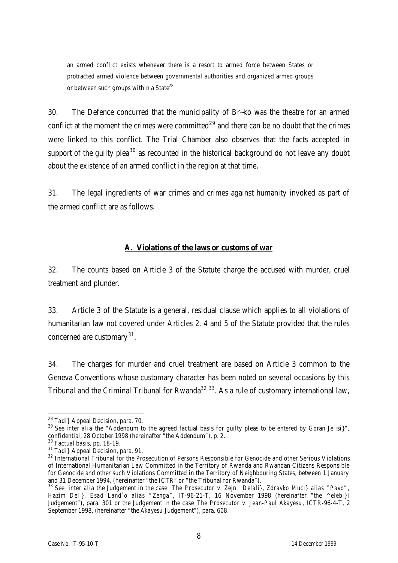an armed conflict exists whenever there is a resort to armed force between States or protracted armed violence between governmental authorities and organized armed groups or between such groups within a State<sup>28</sup>

30. The Defence concurred that the municipality of Br~ko was the theatre for an armed conflict at the moment the crimes were committed<sup>29</sup> and there can be no doubt that the crimes were linked to this conflict. The Trial Chamber also observes that the facts accepted in support of the quilty plea<sup>30</sup> as recounted in the historical background do not leave any doubt about the existence of an armed conflict in the region at that time.

31. The legal ingredients of war crimes and crimes against humanity invoked as part of the armed conflict are as follows.

#### **A. Violations of the laws or customs of war**

32. The counts based on Article 3 of the Statute charge the accused with murder, cruel treatment and plunder.

33. Article 3 of the Statute is a general, residual clause which applies to all violations of humanitarian law not covered under Articles 2, 4 and 5 of the Statute provided that the rules concerned are customary<sup>31</sup>.

34. The charges for murder and cruel treatment are based on Article 3 common to the Geneva Conventions whose customary character has been noted on several occasions by this Tribunal and the Criminal Tribunal for Rwanda<sup>32</sup> 33. As a rule of customary international law,

 $\overline{a}$ 

<sup>28</sup> *Tadi}* Appeal Decision, para. 70.

<sup>29</sup> See *inter alia* the "Addendum to the agreed factual basis for guilty pleas to be entered by Goran Jelisi}", confidential, 28 October 1998 (hereinafter "the Addendum"), p. 2.

<sup>30</sup> Factual basis, pp. 18-19.

<sup>31</sup> *Tadi}* Appeal Decision, para. 91.

<sup>&</sup>lt;sup>32</sup> International Tribunal for the Prosecution of Persons Responsible for Genocide and other Serious Violations of International Humanitarian Law Committed in the Territory of Rwanda and Rwandan Citizens Responsible for Genocide and other such Violations Committed in the Territory of Neighbouring States, between 1 January and 31 December 1994, (hereinafter "the ICTR" or "the Tribunal for Rwanda").

<sup>33</sup> See *inter alia* the Judgement in the case *The Prosecutor v. Zejnil Delali}, Zdravko Muci} alias "Pavo", Hazim Deli}, Esad Land`o alias "Zenga"*, IT-96-21-T, 16 November 1998 (hereinafter "the *^elebi}i* Judgement"), para. 301 or the Judgement in the case *The Prosecutor v. Jean-Paul Akayesu*, ICTR-96-4-T, 2 September 1998, (hereinafter "the *Akayesu* Judgement"), para. 608.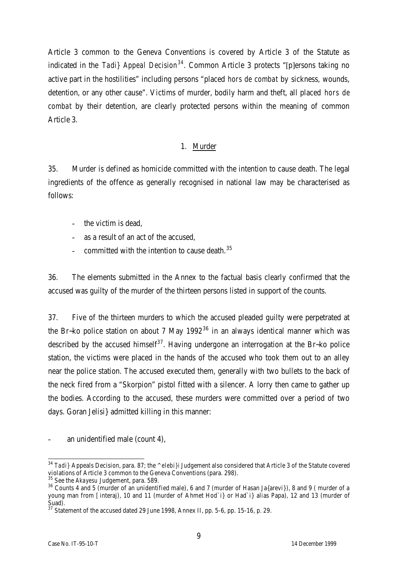Article 3 common to the Geneva Conventions is covered by Article 3 of the Statute as indicated in the *Tadi} Appeal Decision<sup>34</sup>*. Common Article 3 protects "[p]ersons taking no active part in the hostilities" including persons "placed *hors de combat* by sickness, wounds, detention, or any other cause". Victims of murder, bodily harm and theft, all placed *hors de combat* by their detention, are clearly protected persons within the meaning of common Article 3.

## 1. Murder

35. Murder is defined as homicide committed with the intention to cause death. The legal ingredients of the offence as generally recognised in national law may be characterised as follows:

- the victim is dead,
- as a result of an act of the accused,
- committed with the intention to cause death.<sup>35</sup>

36. The elements submitted in the Annex to the factual basis clearly confirmed that the accused was guilty of the murder of the thirteen persons listed in support of the counts.

37. Five of the thirteen murders to which the accused pleaded guilty were perpetrated at the Br-ko police station on about 7 May 1992 $36$  in an always identical manner which was described by the accused himself<sup>37</sup>. Having undergone an interrogation at the Br-ko police station, the victims were placed in the hands of the accused who took them out to an alley near the police station. The accused executed them, generally with two bullets to the back of the neck fired from a "Skorpion" pistol fitted with a silencer. A lorry then came to gather up the bodies. According to the accused, these murders were committed over a period of two days. Goran Jelisi} admitted killing in this manner:

an unidentified male (count 4),

 $\overline{a}$ <sup>34</sup> *Tadi}* Appeals Decision, para. 87; the *^elebi}i* Judgement also considered that Article 3 of the Statute covered violations of Article 3 common to the Geneva Conventions (para. 298).

<sup>35</sup> See the *Akayesu* Judgement, para. 589.

<sup>36</sup> Counts 4 and 5 (murder of an unidentified male), 6 and 7 (murder of Hasan Ja{arevi}), 8 and 9 ( murder of a young man from [interaj), 10 and 11 (murder of Ahmet Hod`i} or Had`i} alias Papa), 12 and 13 (murder of Suad).

<sup>37</sup> Statement of the accused dated 29 June 1998, Annex II, pp. 5-6, pp. 15-16, p. 29.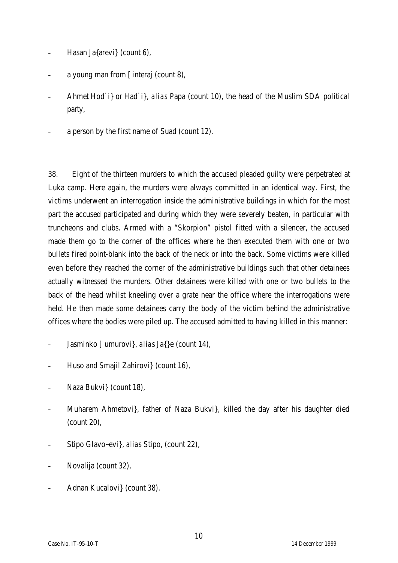- Hasan Ja{arevi} (count 6),
- a young man from [interaj (count 8),
- Ahmet Hod`i} or Had`i}, *alias* Papa (count 10), the head of the Muslim SDA political party,
- a person by the first name of Suad (count 12).

38. Eight of the thirteen murders to which the accused pleaded guilty were perpetrated at Luka camp. Here again, the murders were always committed in an identical way. First, the victims underwent an interrogation inside the administrative buildings in which for the most part the accused participated and during which they were severely beaten, in particular with truncheons and clubs. Armed with a "Skorpion" pistol fitted with a silencer, the accused made them go to the corner of the offices where he then executed them with one or two bullets fired point-blank into the back of the neck or into the back. Some victims were killed even before they reached the corner of the administrative buildings such that other detainees actually witnessed the murders. Other detainees were killed with one or two bullets to the back of the head whilst kneeling over a grate near the office where the interrogations were held. He then made some detainees carry the body of the victim behind the administrative offices where the bodies were piled up. The accused admitted to having killed in this manner:

- Jasminko ]umurovi}, *alias* Ja{}e (count 14),
- Huso and Smajil Zahirovi} (count 16),
- Naza Bukvi} (count 18),
- Muharem Ahmetovi}, father of Naza Bukvi}, killed the day after his daughter died (count 20),
- Stipo Glavo~evi}, *alias* Stipo, (count 22),
- Novalija (count 32),
- Adnan Kucalovi} (count 38).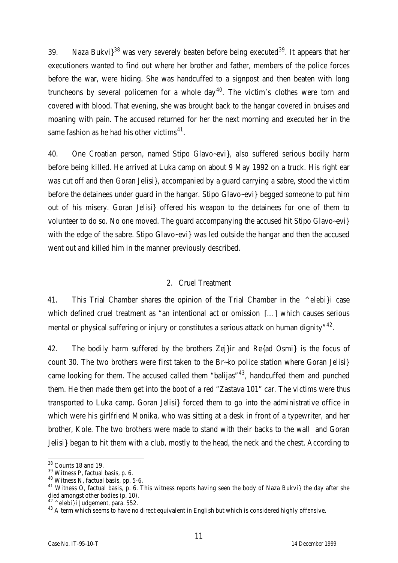39. Naza Bukvi $3^{38}$  was very severely beaten before being executed<sup>39</sup>. It appears that her executioners wanted to find out where her brother and father, members of the police forces before the war, were hiding. She was handcuffed to a signpost and then beaten with long truncheons by several policemen for a whole  $day^{40}$ . The victim's clothes were torn and covered with blood. That evening, she was brought back to the hangar covered in bruises and moaning with pain. The accused returned for her the next morning and executed her in the same fashion as he had his other victims $^{\rm 41}.$ 

40. One Croatian person, named Stipo Glavo~evi}, also suffered serious bodily harm before being killed. He arrived at Luka camp on about 9 May 1992 on a truck. His right ear was cut off and then Goran Jelisi}, accompanied by a guard carrying a sabre, stood the victim before the detainees under guard in the hangar. Stipo Glavo~evi} begged someone to put him out of his misery. Goran Jelisi} offered his weapon to the detainees for one of them to volunteer to do so. No one moved. The guard accompanying the accused hit Stipo Glavo~evi} with the edge of the sabre. Stipo Glavo~evi} was led outside the hangar and then the accused went out and killed him in the manner previously described.

## 2. Cruel Treatment

41. This Trial Chamber shares the opinion of the Trial Chamber in the *^elebi}i* case which defined cruel treatment as "an intentional act or omission [...] which causes serious mental or physical suffering or injury or constitutes a serious attack on human dignity"  $42$ .

42. The bodily harm suffered by the brothers Zej}ir and Re{ad Osmi} is the focus of count 30. The two brothers were first taken to the Br~ko police station where Goran Jelisi} came looking for them. The accused called them "balijas" $43$ , handcuffed them and punched them. He then made them get into the boot of a red "Zastava 101" car. The victims were thus transported to Luka camp. Goran Jelisi} forced them to go into the administrative office in which were his girlfriend Monika, who was sitting at a desk in front of a typewriter, and her brother, Kole. The two brothers were made to stand with their backs to the wall and Goran Jelisi} began to hit them with a club, mostly to the head, the neck and the chest. According to

 $\overline{a}$  $38$  Counts 18 and 19.

<sup>39</sup> Witness P, factual basis, p. 6.

<sup>40</sup> Witness N, factual basis, pp. 5-6.

<sup>&</sup>lt;sup>41</sup> Witness O, factual basis, p. 6. This witness reports having seen the body of Naza Bukvi} the day after she died amongst other bodies (p. 10).

<sup>42</sup> *^elebi}i* Judgement, para. 552.

<sup>&</sup>lt;sup>43</sup> A term which seems to have no direct equivalent in English but which is considered highly offensive.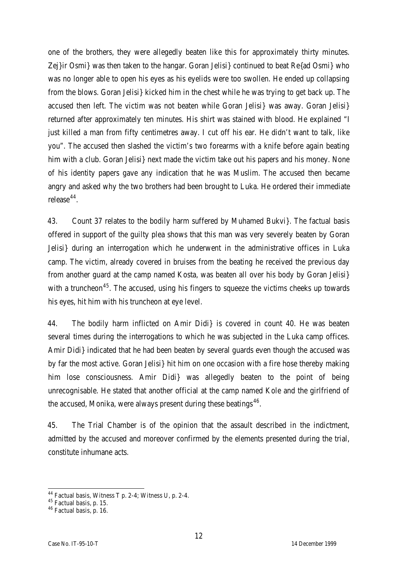one of the brothers, they were allegedly beaten like this for approximately thirty minutes. Zej}ir Osmi} was then taken to the hangar. Goran Jelisi} continued to beat Re{ad Osmi} who was no longer able to open his eyes as his eyelids were too swollen. He ended up collapsing from the blows. Goran Jelisi} kicked him in the chest while he was trying to get back up. The accused then left. The victim was not beaten while Goran Jelisi} was away. Goran Jelisi} returned after approximately ten minutes. His shirt was stained with blood. He explained "I just killed a man from fifty centimetres away. I cut off his ear. He didn't want to talk, like you". The accused then slashed the victim's two forearms with a knife before again beating him with a club. Goran Jelisi} next made the victim take out his papers and his money. None of his identity papers gave any indication that he was Muslim. The accused then became angry and asked why the two brothers had been brought to Luka. He ordered their immediate release<sup>44</sup>.

43. Count 37 relates to the bodily harm suffered by Muhamed Bukvi}. The factual basis offered in support of the guilty plea shows that this man was very severely beaten by Goran Jelisi} during an interrogation which he underwent in the administrative offices in Luka camp. The victim, already covered in bruises from the beating he received the previous day from another guard at the camp named Kosta, was beaten all over his body by Goran Jelisi} with a truncheon<sup>45</sup>. The accused, using his fingers to squeeze the victims cheeks up towards his eyes, hit him with his truncheon at eye level.

44. The bodily harm inflicted on Amir Didi} is covered in count 40. He was beaten several times during the interrogations to which he was subjected in the Luka camp offices. Amir Didi} indicated that he had been beaten by several guards even though the accused was by far the most active. Goran Jelisi} hit him on one occasion with a fire hose thereby making him lose consciousness. Amir Didi} was allegedly beaten to the point of being unrecognisable. He stated that another official at the camp named Kole and the girlfriend of the accused, Monika, were always present during these beatings $^{46}$ .

45. The Trial Chamber is of the opinion that the assault described in the indictment, admitted by the accused and moreover confirmed by the elements presented during the trial, constitute inhumane acts.

 $\overline{a}$ 

 $44$  Factual basis, Witness T p. 2-4; Witness U, p. 2-4.

 $45$  Factual basis, p. 15.

<sup>46</sup> Factual basis, p. 16.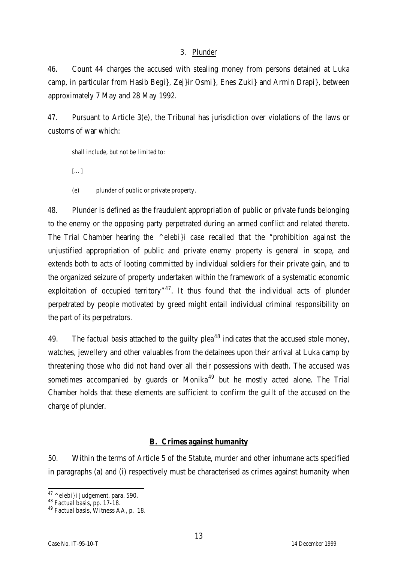## 3. Plunder

46. Count 44 charges the accused with stealing money from persons detained at Luka camp, in particular from Hasib Begi}, Zej}ir Osmi}, Enes Zuki} and Armin Drapi}, between approximately 7 May and 28 May 1992.

47. Pursuant to Article 3(e), the Tribunal has jurisdiction over violations of the laws or customs of war which:

shall include, but not be limited to:

[…]

(e) plunder of public or private property.

48. Plunder is defined as the fraudulent appropriation of public or private funds belonging to the enemy or the opposing party perpetrated during an armed conflict and related thereto. The Trial Chamber hearing the *^elebi}i* case recalled that the "prohibition against the unjustified appropriation of public and private enemy property is general in scope, and extends both to acts of looting committed by individual soldiers for their private gain, and to the organized seizure of property undertaken within the framework of a systematic economic exploitation of occupied territory"<sup>47</sup>. It thus found that the individual acts of plunder perpetrated by people motivated by greed might entail individual criminal responsibility on the part of its perpetrators.

49. The factual basis attached to the guilty plea<sup>48</sup> indicates that the accused stole money, watches, jewellery and other valuables from the detainees upon their arrival at Luka camp by threatening those who did not hand over all their possessions with death. The accused was sometimes accompanied by quards or Monika<sup>49</sup> but he mostly acted alone. The Trial Chamber holds that these elements are sufficient to confirm the guilt of the accused on the charge of plunder.

## **B. Crimes against humanity**

50. Within the terms of Article 5 of the Statute, murder and other inhumane acts specified in paragraphs (a) and (i) respectively must be characterised as crimes against humanity when

 $\overline{a}$ <sup>47</sup> *^elebi}i* Judgement, para. 590.

<sup>48</sup> Factual basis, pp. 17-18.

<sup>49</sup> Factual basis, Witness AA, p. 18.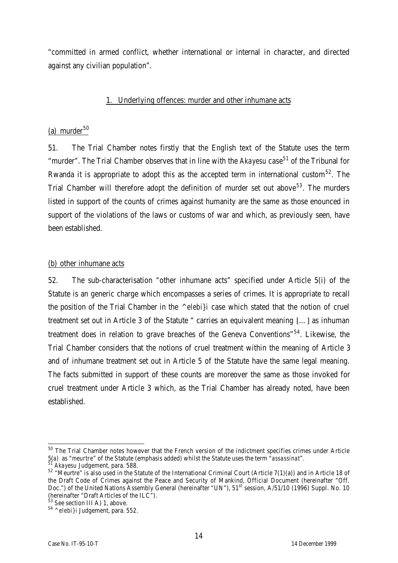"committed in armed conflict, whether international or internal in character, and directed against any civilian population".

#### 1. Underlying offences: murder and other inhumane acts

## (a) murder $50$

51. The Trial Chamber notes firstly that the English text of the Statute uses the term "murder". The Trial Chamber observes that in line with the *Akayesu* case<sup>51</sup> of the Tribunal for Rwanda it is appropriate to adopt this as the accepted term in international custom<sup>52</sup>. The Trial Chamber will therefore adopt the definition of murder set out above<sup>53</sup>. The murders listed in support of the counts of crimes against humanity are the same as those enounced in support of the violations of the laws or customs of war and which, as previously seen, have been established.

#### (b) other inhumane acts

52. The sub-characterisation "other inhumane acts" specified under Article 5(i) of the Statute is an generic charge which encompasses a series of crimes. It is appropriate to recall the position of the Trial Chamber in the *^elebi}i* case which stated that the notion of cruel treatment set out in Article 3 of the Statute " carries an equivalent meaning […] as inhuman treatment does in relation to grave breaches of the Geneva Conventions" $54$ . Likewise, the Trial Chamber considers that the notions of cruel treatment within the meaning of Article 3 and of inhumane treatment set out in Article 5 of the Statute have the same legal meaning. The facts submitted in support of these counts are moreover the same as those invoked for cruel treatment under Article 3 which, as the Trial Chamber has already noted, have been established.

 $\overline{a}$  $^{50}$  The Trial Chamber notes however that the French version of the indictment specifies crimes under Article 5(a) as "*meurtre*" of the Statute (emphasis added) whilst the Statute uses the term "*assassinat*".

<sup>51</sup> *Akayesu* Judgement, para. 588.

<sup>52</sup> "Meurtre" is also used in the Statute of the International Criminal Court (Article 7(1)(a)) and in Article 18 of the Draft Code of Crimes against the Peace and Security of Mankind, Official Document (hereinafter "Off. Doc.") of the United Nations Assembly General (hereinafter "UN"), 51st session, A/51/10 (1996) Suppl. No. 10 (hereinafter "Draft Articles of the ILC").

<sup>&</sup>lt;sup>53</sup> See section III A) 1, above.

<sup>54</sup> *^elebi}i* Judgement, para. 552.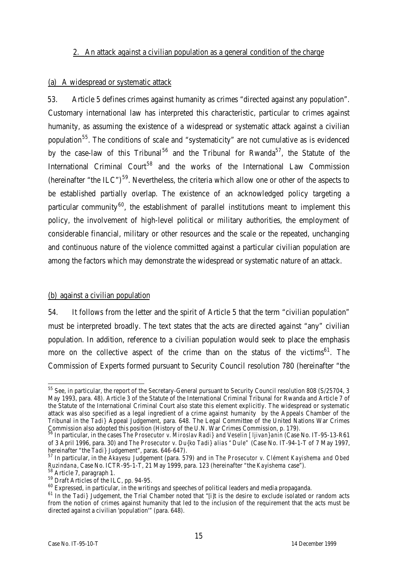#### 2. An attack against a civilian population as a general condition of the charge

#### (a) A widespread or systematic attack

53. Article 5 defines crimes against humanity as crimes "directed against any population". Customary international law has interpreted this characteristic, particular to crimes against humanity, as assuming the existence of a widespread or systematic attack against a civilian population<sup>55</sup>. The conditions of scale and "systematicity" are not cumulative as is evidenced by the case-law of this Tribunal<sup>56</sup> and the Tribunal for Rwanda<sup>57</sup>, the Statute of the International Criminal Court<sup>58</sup> and the works of the International Law Commission (hereinafter "the ILC")<sup>59</sup>. Nevertheless, the criteria which allow one or other of the aspects to be established partially overlap. The existence of an acknowledged policy targeting a particular community<sup>60</sup>, the establishment of parallel institutions meant to implement this policy, the involvement of high-level political or military authorities, the employment of considerable financial, military or other resources and the scale or the repeated, unchanging and continuous nature of the violence committed against a particular civilian population are among the factors which may demonstrate the widespread or systematic nature of an attack.

## (b) against a civilian population

54. It follows from the letter and the spirit of Article 5 that the term "civilian population" must be interpreted broadly. The text states that the acts are directed against "any" civilian population. In addition, reference to a civilian population would seek to place the emphasis more on the collective aspect of the crime than on the status of the victims<sup>61</sup>. The Commission of Experts formed pursuant to Security Council resolution 780 (hereinafter "the

 $\overline{a}$  $^{55}$  See, in particular, the report of the Secretary-General pursuant to Security Council resolution 808 (S/25704, 3 May 1993, para. 48). Article 3 of the Statute of the International Criminal Tribunal for Rwanda and Article 7 of the Statute of the International Criminal Court also state this element explicitly. The widespread or systematic attack was also specified as a legal ingredient of a crime against humanity by the Appeals Chamber of the Tribunal in the *Tadi}* Appeal Judgement, para. 648. The Legal Committee of the United Nations War Crimes Commission also adopted this position (History of the U.N. War Crimes Commission, p. 179).

<sup>56</sup> In particular, in the cases *The Prosecutor v. Miroslav Radi} and Veselin [ljivan}anin* (Case No. IT-95-13-R61 of 3 April 1996, para. 30) and *The Prosecutor v. Du{ko Tadi} alias "Dule"* (Case No. IT-94-1-T of 7 May 1997, hereinafter "the *Tadi}* Judgement", paras. 646-647).

<sup>57</sup> In particular, in the *Akayesu* Judgement (para. 579) and in *The Prosecutor v. Clément Kayishema and Obed Ruzindana*, Case No. ICTR-95-1-T, 21 May 1999, para. 123 (hereinafter "the *Kayishema* case").

<sup>58</sup> Article 7, paragraph 1.

<sup>59</sup> Draft Articles of the ILC, pp. 94-95.

<sup>&</sup>lt;sup>60</sup> Expressed, in particular, in the writings and speeches of political leaders and media propaganda.

<sup>&</sup>lt;sup>61</sup> In the *Tadi*} Judgement, the Trial Chamber noted that "[i]t is the desire to exclude isolated or random acts from the notion of crimes against humanity that led to the inclusion of the requirement that the acts must be directed against a civilian 'population'" (para. 648).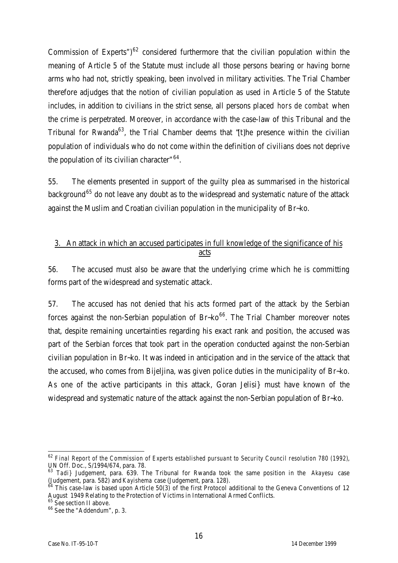Commission of Experts")<sup>62</sup> considered furthermore that the civilian population within the meaning of Article 5 of the Statute must include all those persons bearing or having borne arms who had not, strictly speaking, been involved in military activities. The Trial Chamber therefore adjudges that the notion of civilian population as used in Article 5 of the Statute includes, in addition to civilians in the strict sense, all persons placed *hors de combat* when the crime is perpetrated. Moreover, in accordance with the case-law of this Tribunal and the Tribunal for Rwanda<sup>63</sup>, the Trial Chamber deems that "[t]he presence within the civilian population of individuals who do not come within the definition of civilians does not deprive the population of its civilian character"<sup>64</sup>.

55. The elements presented in support of the guilty plea as summarised in the historical background<sup>65</sup> do not leave any doubt as to the widespread and systematic nature of the attack against the Muslim and Croatian civilian population in the municipality of Br~ko.

## 3. An attack in which an accused participates in full knowledge of the significance of his acts

56. The accused must also be aware that the underlying crime which he is committing forms part of the widespread and systematic attack.

57. The accused has not denied that his acts formed part of the attack by the Serbian forces against the non-Serbian population of  $Br-ko^{66}$ . The Trial Chamber moreover notes that, despite remaining uncertainties regarding his exact rank and position, the accused was part of the Serbian forces that took part in the operation conducted against the non-Serbian civilian population in Br~ko. It was indeed in anticipation and in the service of the attack that the accused, who comes from Bijeljina, was given police duties in the municipality of Br~ko. As one of the active participants in this attack, Goran Jelisi} must have known of the widespread and systematic nature of the attack against the non-Serbian population of Br~ko.

 $\overline{a}$ <sup>62</sup> *Final Report of the Commission of Experts established pursuant to Security Council resolution 780 (1992)*, UN Off. Doc., S/1994/674, para. 78.

<sup>63</sup> *Tadi}* Judgement, para. 639. The Tribunal for Rwanda took the same position in the *Akayesu* case (Judgement, para. 582) and *Kayishema* case (Judgement, para. 128).

 $64$  This case-law is based upon Article 50(3) of the first Protocol additional to the Geneva Conventions of 12 August 1949 Relating to the Protection of Victims in International Armed Conflicts.

<sup>&</sup>lt;sup>65</sup> See section II above.

<sup>66</sup> See the "Addendum", p. 3.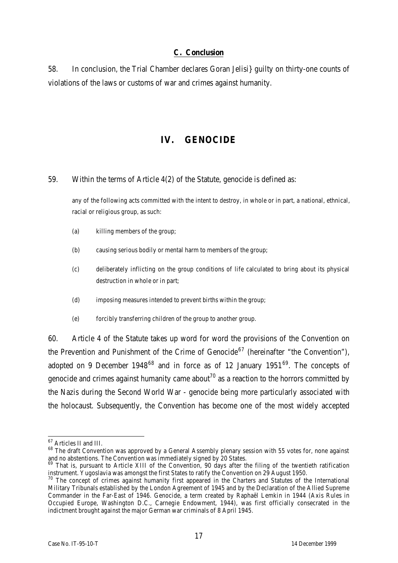#### **C. Conclusion**

58. In conclusion, the Trial Chamber declares Goran Jelisi} guilty on thirty-one counts of violations of the laws or customs of war and crimes against humanity.

# **IV. GENOCIDE**

59. Within the terms of Article 4(2) of the Statute, genocide is defined as:

any of the following acts committed with the intent to destroy, in whole or in part, a national, ethnical, racial or religious group, as such:

- (a) killing members of the group;
- (b) causing serious bodily or mental harm to members of the group;
- (c) deliberately inflicting on the group conditions of life calculated to bring about its physical destruction in whole or in part;
- (d) imposing measures intended to prevent births within the group;
- (e) forcibly transferring children of the group to another group.

60. Article 4 of the Statute takes up word for word the provisions of the Convention on the Prevention and Punishment of the Crime of Genocide<sup>67</sup> (hereinafter "the Convention"), adopted on 9 December 1948 $^{68}$  and in force as of 12 January 1951 $^{69}$ . The concepts of genocide and crimes against humanity came about<sup>70</sup> as a reaction to the horrors committed by the Nazis during the Second World War - genocide being more particularly associated with the holocaust. Subsequently, the Convention has become one of the most widely accepted

 $\overline{a}$ 

<sup>&</sup>lt;sup>67</sup> Articles II and III.

<sup>&</sup>lt;sup>68</sup> The draft Convention was approved by a General Assembly plenary session with 55 votes for, none against and no abstentions. The Convention was immediately signed by 20 States.

<sup>&</sup>lt;sup>69</sup> That is, pursuant to Article XIII of the Convention, 90 days after the filing of the twentieth ratification instrument. Yugoslavia was amongst the first States to ratify the Convention on 29 August 1950.

 $70$  The concept of crimes against humanity first appeared in the Charters and Statutes of the International Military Tribunals established by the London Agreement of 1945 and by the Declaration of the Allied Supreme Commander in the Far-East of 1946. Genocide, a term created by Raphaël Lemkin in 1944 (Axis Rules in Occupied Europe, Washington D.C., Carnegie Endowment, 1944), was first officially consecrated in the indictment brought against the major German war criminals of 8 April 1945.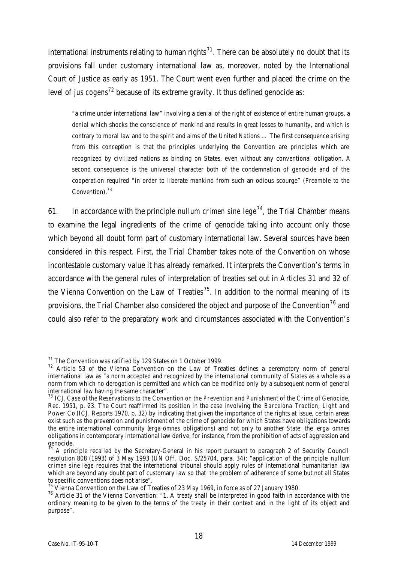international instruments relating to human rights<sup>71</sup>. There can be absolutely no doubt that its provisions fall under customary international law as, moreover, noted by the International Court of Justice as early as 1951. The Court went even further and placed the crime on the level of *jus cogens*<sup>72</sup> because of its extreme gravity. It thus defined genocide as:

"a crime under international law" involving a denial of the right of existence of entire human groups, a denial which shocks the conscience of mankind and results in great losses to humanity, and which is contrary to moral law and to the spirit and aims of the United Nations … The first consequence arising from this conception is that the principles underlying the Convention are principles which are recognized by civilized nations as binding on States, even without any conventional obligation. A second consequence is the universal character both of the condemnation of genocide and of the cooperation required "in order to liberate mankind from such an odious scourge" (Preamble to the Convention).<sup>73</sup>

61. In accordance with the principle *nullum crimen sine lege*<sup>74</sup>, the Trial Chamber means to examine the legal ingredients of the crime of genocide taking into account only those which beyond all doubt form part of customary international law. Several sources have been considered in this respect. First, the Trial Chamber takes note of the Convention on whose incontestable customary value it has already remarked. It interprets the Convention's terms in accordance with the general rules of interpretation of treaties set out in Articles 31 and 32 of the Vienna Convention on the Law of Treaties<sup>75</sup>. In addition to the normal meaning of its provisions, the Trial Chamber also considered the object and purpose of the Convention<sup>76</sup> and could also refer to the preparatory work and circumstances associated with the Convention's

 $\overline{a}$  $71$  The Convention was ratified by 129 States on 1 October 1999.

<sup>&</sup>lt;sup>72</sup> Article 53 of the Vienna Convention on the Law of Treaties defines a peremptory norm of general international law as "a norm accepted and recognized by the international community of States as a whole as a norm from which no derogation is permitted and which can be modified only by a subsequent norm of general international law having the same character".

<sup>73</sup> ICJ, *Case of the Reservations to the Convention on the Prevention and Punishment of the Crime of Genocide*, Rec. 1951, p. 23. The Court reaffirmed its position in the case involving the *Barcelona Traction, Light and Power Co.*(ICJ, Reports 1970, p. 32) by indicating that given the importance of the rights at issue, certain areas exist such as the prevention and punishment of the crime of genocide for which States have obligations towards the entire international community (*erga omnes* obligations) and not only to another State: the *erga omnes* obligations in contemporary international law derive, for instance, from the prohibition of acts of aggression and  $genocide.$ 

<sup>74</sup> A principle recalled by the Secretary-General in his report pursuant to paragraph 2 of Security Council resolution 808 (1993) of 3 May 1993 (UN Off. Doc. S/25704, para. 34): "application of the principle *nullum crimen sine lege* requires that the international tribunal should apply rules of international humanitarian law which are beyond any doubt part of customary law so that the problem of adherence of some but not all States to specific conventions does not arise".

 $^{75}$  Vienna Convention on the Law of Treaties of 23 May 1969, in force as of 27 January 1980.

<sup>&</sup>lt;sup>76</sup> Article 31 of the Vienna Convention: "1. A treaty shall be interpreted in good faith in accordance with the ordinary meaning to be given to the terms of the treaty in their context and in the light of its object and purpose".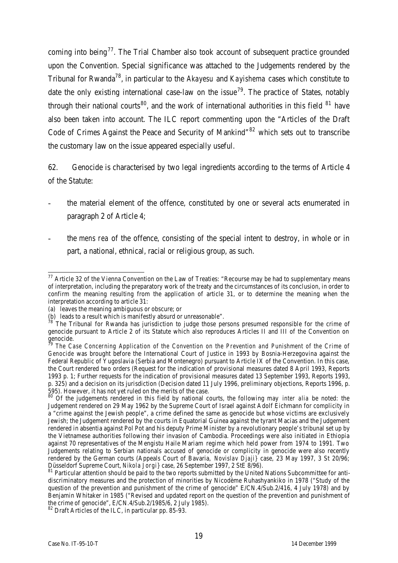coming into being<sup>77</sup>. The Trial Chamber also took account of subsequent practice grounded upon the Convention. Special significance was attached to the Judgements rendered by the Tribunal for Rwanda<sup>78</sup>, in particular to the *Akayesu* and *Kayishema* cases which constitute to date the only existing international case-law on the issue<sup>79</sup>. The practice of States, notably through their national courts<sup>80</sup>, and the work of international authorities in this field  $81$  have also been taken into account. The ILC report commenting upon the "Articles of the Draft Code of Crimes Against the Peace and Security of Mankind<sup>"82</sup> which sets out to transcribe the customary law on the issue appeared especially useful.

62. Genocide is characterised by two legal ingredients according to the terms of Article 4 of the Statute:

- the material element of the offence, constituted by one or several acts enumerated in paragraph 2 of Article 4;
- the *mens rea* of the offence, consisting of the special intent to destroy, in whole or in part, a national, ethnical, racial or religious group, as such.

 $\overline{a}$  $^{77}$  Article 32 of the Vienna Convention on the Law of Treaties: "Recourse may be had to supplementary means of interpretation, including the preparatory work of the treaty and the circumstances of its conclusion, in order to confirm the meaning resulting from the application of article 31, or to determine the meaning when the interpretation according to article 31:

<sup>(</sup>a) leaves the meaning ambiguous or obscure; or

<sup>(</sup>b) leads to a result which is manifestly absurd or unreasonable".

 $8^{\degree}$  The Tribunal for Rwanda has jurisdiction to judge those persons presumed responsible for the crime of genocide pursuant to Article 2 of its Statute which also reproduces Articles II and III of the Convention on  $\frac{1}{79}$ genocide.

The Case Concerning Application of the Convention on the Prevention and Punishment of the Crime of *Genocide* was brought before the International Court of Justice in 1993 by Bosnia-Herzegovina against the Federal Republic of Yugoslavia (Serbia and Montenegro) pursuant to Article IX of the Convention. In this case, the Court rendered two orders (Request for the indication of provisional measures dated 8 April 1993, Reports 1993 p. 1; Further requests for the indication of provisional measures dated 13 September 1993, Reports 1993, p. 325) and a decision on its jurisdiction (Decision dated 11 July 1996, preliminary objections, Reports 1996, p. 595). However, it has not yet ruled on the merits of the case.

<sup>&</sup>lt;sup>80</sup> Of the judgements rendered in this field by national courts, the following may *inter alia* be noted: the Judgement rendered on 29 May 1962 by the Supreme Court of Israel against Adolf Eichmann for complicity in a "crime against the Jewish people", a crime defined the same as genocide but whose victims are exclusively Jewish; the Judgement rendered by the courts in Equatorial Guinea against the tyrant Macias and the Judgement rendered in absentia against Pol Pot and his deputy Prime Minister by a revolutionary people's tribunal set up by the Vietnamese authorities following their invasion of Cambodia. Proceedings were also initiated in Ethiopia against 70 representatives of the Mengistu Haile Mariam regime which held power from 1974 to 1991. Two Judgements relating to Serbian nationals accused of genocide or complicity in genocide were also recently rendered by the German courts (Appeals Court of Bavaria, *Novislav Djaji}* case, 23 May 1997, 3 St 20/96; Düsseldorf Supreme Court, *Nikola Jorgi}* case, 26 September 1997, 2 StE 8/96).

<sup>81</sup> Particular attention should be paid to the two reports submitted by the United Nations Subcommittee for antidiscriminatory measures and the protection of minorities by Nicodème Ruhashyankiko in 1978 ("Study of the question of the prevention and punishment of the crime of genocide" E/CN.4/Sub.2/416, 4 July 1978) and by Benjamin Whitaker in 1985 ("Revised and updated report on the question of the prevention and punishment of the crime of genocide", E/CN.4/Sub.2/1985/6, 2 July 1985).

<sup>82</sup> Draft Articles of the ILC, in particular pp. 85-93.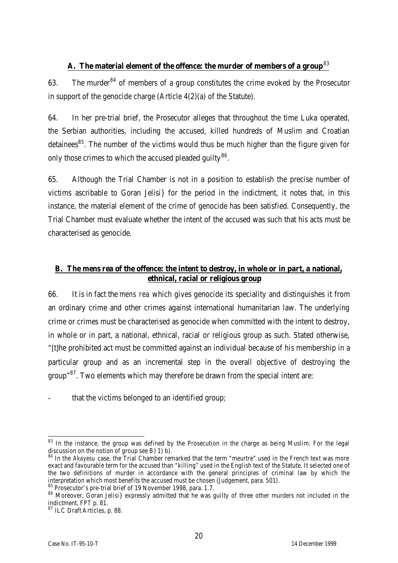## **A. The material element of the offence: the murder of members of a group**<sup>83</sup>

63. The murder  $84$  of members of a group constitutes the crime evoked by the Prosecutor in support of the genocide charge (Article 4(2)(a) of the Statute).

64. In her pre-trial brief, the Prosecutor alleges that throughout the time Luka operated, the Serbian authorities, including the accused, killed hundreds of Muslim and Croatian detainees<sup>85</sup>. The number of the victims would thus be much higher than the figure given for only those crimes to which the accused pleaded guilty $^{86}$ .

65. Although the Trial Chamber is not in a position to establish the precise number of victims ascribable to Goran Jelisi} for the period in the indictment, it notes that, in this instance, the material element of the crime of genocide has been satisfied. Consequently, the Trial Chamber must evaluate whether the intent of the accused was such that his acts must be characterised as genocide.

## **B. The** *mens rea* **of the offence: the intent to destroy, in whole or in part, a national, ethnical, racial or religious group**

66. It is in fact the *mens rea* which gives genocide its speciality and distinguishes it from an ordinary crime and other crimes against international humanitarian law. The underlying crime or crimes must be characterised as genocide when committed with the intent to destroy, in whole or in part, a national, ethnical, racial or religious group as such. Stated otherwise, "[t]he prohibited act must be committed against an individual because of his membership in a particular group and as an incremental step in the overall objective of destroying the group"<sup>87</sup>. Two elements which may therefore be drawn from the special intent are:

that the victims belonged to an identified group;

 $\overline{a}$  $83$  In the instance, the group was defined by the Prosecution in the charge as being Muslim. For the legal discussion on the notion of group see B) 1) b).

<sup>84</sup> In the *Akayesu* case, the Trial Chamber remarked that the term "meurtre" used in the French text was more exact and favourable term for the accused than "killing" used in the English text of the Statute. It selected one of the two definitions of murder in accordance with the general principles of criminal law by which the interpretation which most benefits the accused must be chosen (Judgement, para. 501).

 $85$  Prosecutor's pre-trial brief of 19 November 1998, para. 1.7.

<sup>86</sup> Moreover, Goran Jelisi} expressly admitted that he was guilty of three other murders not included in the indictment, FPT p. 81.

 $87$  ILC Draft Articles, p. 88.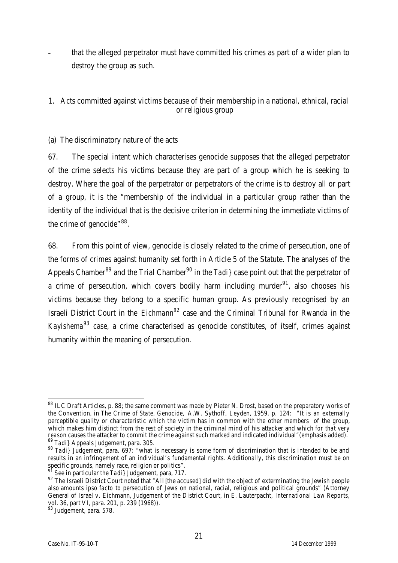that the alleged perpetrator must have committed his crimes as part of a wider plan to destroy the group as such.

## 1. Acts committed against victims because of their membership in a national, ethnical, racial or religious group

## (a) The discriminatory nature of the acts

67. The special intent which characterises genocide supposes that the alleged perpetrator of the crime selects his victims because they are part of a group which he is seeking to destroy. Where the goal of the perpetrator or perpetrators of the crime is to destroy all or part of a group, it is the "membership of the individual in a particular group rather than the identity of the individual that is the decisive criterion in determining the immediate victims of the crime of genocide"<sup>88</sup>.

68. From this point of view, genocide is closely related to the crime of persecution, one of the forms of crimes against humanity set forth in Article 5 of the Statute. The analyses of the Appeals Chamber<sup>89</sup> and the Trial Chamber<sup>90</sup> in the *Tadi*} case point out that the perpetrator of a crime of persecution, which covers bodily harm including murder $91$ , also chooses his victims because they belong to a specific human group. As previously recognised by an Israeli District Court in the *Eichmann<sup>92</sup>* case and the Criminal Tribunal for Rwanda in the *Kayishema<sup>93</sup>* case, a crime characterised as genocide constitutes, of itself, crimes against humanity within the meaning of persecution.

 $\overline{a}$  $88$  ILC Draft Articles, p. 88; the same comment was made by Pieter N. Drost, based on the preparatory works of the Convention, in *The Crime of State, Genocide,* A.W. Sythoff, Leyden, 1959, p. 124: "It is an externally perceptible quality or characteristic which the victim has in common with the other members of the group, which makes him distinct from the rest of society in the criminal mind of his attacker and which *for that very reason* causes the attacker to commit the crime against such marked and indicated individual"(emphasis added). <sup>89</sup> *Tadi}* Appeals Judgement, para. 305.

<sup>90</sup> *Tadi}* Judgement, para. 697: "what is necessary is some form of discrimination that is intended to be and results in an infringement of an individual's fundamental rights. Additionally, this discrimination must be on specific grounds, namely race, religion or politics".

See in particular the *Tadi* } Judgement, para, 717.

<sup>92</sup> The Israeli District Court noted that "All [the accused] did with the object of exterminating the Jewish people also amounts *ipso facto* to persecution of Jews on national, racial, religious and political grounds" (Attorney General of Israel v. Eichmann, Judgement of the District Court, in E. Lauterpacht, *International Law Reports*, vol. 36, part VI, para. 201, p. 239 (1968)).

<sup>&</sup>lt;sup>93</sup> Judgement, para. 578.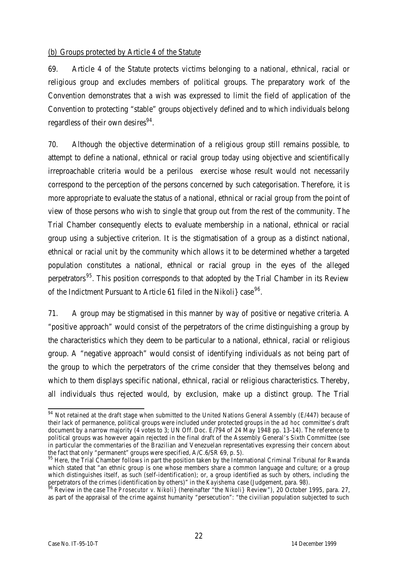### (b) Groups protected by Article 4 of the Statute

69. Article 4 of the Statute protects victims belonging to a national, ethnical, racial or religious group and excludes members of political groups. The preparatory work of the Convention demonstrates that a wish was expressed to limit the field of application of the Convention to protecting "stable" groups objectively defined and to which individuals belong regardless of their own desires<sup>94</sup>.

70. Although the objective determination of a religious group still remains possible, to attempt to define a national, ethnical or racial group today using objective and scientifically irreproachable criteria would be a perilous exercise whose result would not necessarily correspond to the perception of the persons concerned by such categorisation. Therefore, it is more appropriate to evaluate the status of a national, ethnical or racial group from the point of view of those persons who wish to single that group out from the rest of the community. The Trial Chamber consequently elects to evaluate membership in a national, ethnical or racial group using a subjective criterion. It is the stigmatisation of a group as a distinct national, ethnical or racial unit by the community which allows it to be determined whether a targeted population constitutes a national, ethnical or racial group in the eyes of the alleged perpetrators<sup>95</sup>. This position corresponds to that adopted by the Trial Chamber in its Review of the Indictment Pursuant to Article 61 filed in the Nikoli} case<sup>96</sup>.

71. A group may be stigmatised in this manner by way of positive or negative criteria. A "positive approach" would consist of the perpetrators of the crime distinguishing a group by the characteristics which they deem to be particular to a national, ethnical, racial or religious group. A "negative approach" would consist of identifying individuals as not being part of the group to which the perpetrators of the crime consider that they themselves belong and which to them displays specific national, ethnical, racial or religious characteristics. Thereby, all individuals thus rejected would, by exclusion, make up a distinct group. The Trial

 $\overline{\phantom{0}}$  $94$  Not retained at the draft stage when submitted to the United Nations General Assembly (E/447) because of their lack of permanence, political groups were included under protected groups in the *ad hoc* committee's draft document by a narrow majority (4 votes to 3; UN Off. Doc. E/794 of 24 May 1948 pp. 13-14). The reference to political groups was however again rejected in the final draft of the Assembly General's Sixth Committee (see in particular the commentaries of the Brazilian and Venezuelan representatives expressing their concern about the fact that only "permanent" groups were specified, A/C.6/SR 69, p. 5).

<sup>&</sup>lt;sup>95</sup> Here, the Trial Chamber follows in part the position taken by the International Criminal Tribunal for Rwanda which stated that "an ethnic group is one whose members share a common language and culture; or a group which distinguishes itself, as such (self-identification); or, a group identified as such by others, including the perpetrators of the crimes (identification by others)" in the *Kayishema* case (Judgement, para. 98).

<sup>96</sup> Review in the case *The Prosecutor v. Nikoli}* (hereinafter "the *Nikoli}* Review"), 20 October 1995, para. 27, as part of the appraisal of the crime against humanity "persecution": "the civilian population subjected to such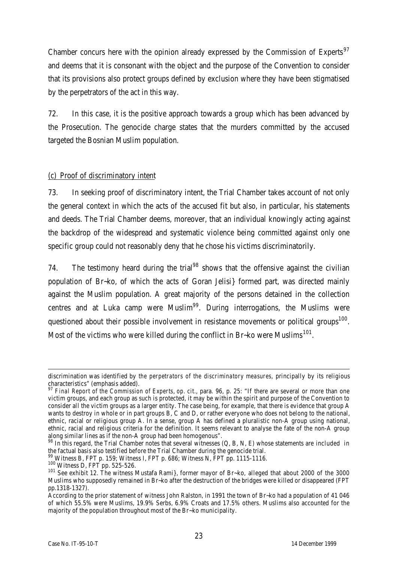Chamber concurs here with the opinion already expressed by the Commission of Experts<sup>97</sup> and deems that it is consonant with the object and the purpose of the Convention to consider that its provisions also protect groups defined by exclusion where they have been stigmatised by the perpetrators of the act in this way.

72. In this case, it is the positive approach towards a group which has been advanced by the Prosecution. The genocide charge states that the murders committed by the accused targeted the Bosnian Muslim population.

## (c) Proof of discriminatory intent

73. In seeking proof of discriminatory intent, the Trial Chamber takes account of not only the general context in which the acts of the accused fit but also, in particular, his statements and deeds. The Trial Chamber deems, moreover, that an individual knowingly acting against the backdrop of the widespread and systematic violence being committed against only one specific group could not reasonably deny that he chose his victims discriminatorily.

74. The testimony heard during the trial<sup>98</sup> shows that the offensive against the civilian population of Br~ko, of which the acts of Goran Jelisi} formed part, was directed mainly against the Muslim population. A great majority of the persons detained in the collection centres and at Luka camp were Muslim<sup>99</sup>. During interrogations, the Muslims were questioned about their possible involvement in resistance movements or political groups<sup>100</sup>. Most of the victims who were killed during the conflict in Br~ko were Muslims $^{101}$ .

l discrimination was identified by *the perpetrators of the discriminatory measures*, principally by its religious characteristics" (emphasis added).

<sup>97</sup> *Final Report of the Commission of Experts*, *op. cit*., para. 96, p. 25: "If there are several or more than one victim groups, and each group as such is protected, it may be within the spirit and purpose of the Convention to consider all the victim groups as a larger entity. The case being, for example, that there is evidence that group A wants to destroy in whole or in part groups B, C and D, or rather everyone who does not belong to the national, ethnic, racial or religious group A. In a sense, group A has defined a pluralistic non-A group using national, ethnic, racial and religious criteria for the definition. It seems relevant to analyse the fate of the non-A group along similar lines as if the non-A group had been homogenous".

 $98$  In this regard, the Trial Chamber notes that several witnesses (Q, B, N, E) whose statements are included in the factual basis also testified before the Trial Chamber during the genocide trial.

 $^9$  Witness B, FPT p. 159; Witness I, FPT p. 686; Witness N, FPT pp. 1115-1116.

<sup>100</sup> Witness D, FPT pp. 525-526.

<sup>101</sup> See exhibit 12. The witness Mustafa Rami}, former mayor of Br~ko, alleged that about 2000 of the 3000 Muslims who supposedly remained in Br~ko after the destruction of the bridges were killed or disappeared (FPT pp.1318-1327).

According to the prior statement of witness John Ralston, in 1991 the town of Br~ko had a population of 41 046 of which 55.5% were Muslims, 19.9% Serbs, 6.9% Croats and 17.5% others. Muslims also accounted for the majority of the population throughout most of the Br~ko municipality.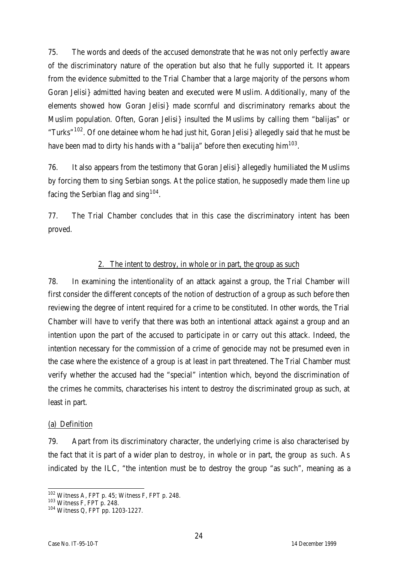75. The words and deeds of the accused demonstrate that he was not only perfectly aware of the discriminatory nature of the operation but also that he fully supported it. It appears from the evidence submitted to the Trial Chamber that a large majority of the persons whom Goran Jelisi} admitted having beaten and executed were Muslim. Additionally, many of the elements showed how Goran Jelisi} made scornful and discriminatory remarks about the Muslim population. Often, Goran Jelisi} insulted the Muslims by calling them "balijas" or "Turks"<sup>102</sup>. Of one detainee whom he had just hit, Goran Jelisi allegedly said that he must be have been mad to dirty his hands with a "balija" before then executing him $^{103}.$ 

76. It also appears from the testimony that Goran Jelisi} allegedly humiliated the Muslims by forcing them to sing Serbian songs. At the police station, he supposedly made them line up facing the Serbian flag and sing  $104$ .

77. The Trial Chamber concludes that in this case the discriminatory intent has been proved.

#### 2. The intent to destroy, in whole or in part, the group as such

78. In examining the intentionality of an attack against a group, the Trial Chamber will first consider the different concepts of the notion of destruction of a group as such before then reviewing the degree of intent required for a crime to be constituted. In other words, the Trial Chamber will have to verify that there was both an intentional attack against a group and an intention upon the part of the accused to participate in or carry out this attack. Indeed, the intention necessary for the commission of a crime of genocide may not be presumed even in the case where the existence of a group is at least in part threatened. The Trial Chamber must verify whether the accused had the "special" intention which, beyond the discrimination of the crimes he commits, characterises his intent to destroy the discriminated group as such, at least in part.

#### (a) Definition

79. Apart from its discriminatory character, the underlying crime is also characterised by the fact that it is part of a wider plan to *destroy*, in whole or in part, the group *as such*. As indicated by the ILC, "the intention must be to destroy the group "as such", meaning as a

 $\overline{a}$  $102$  Witness A, FPT p. 45; Witness F, FPT p. 248.

<sup>103</sup> Witness F, FPT p. 248.

<sup>104</sup> Witness Q, FPT pp. 1203-1227.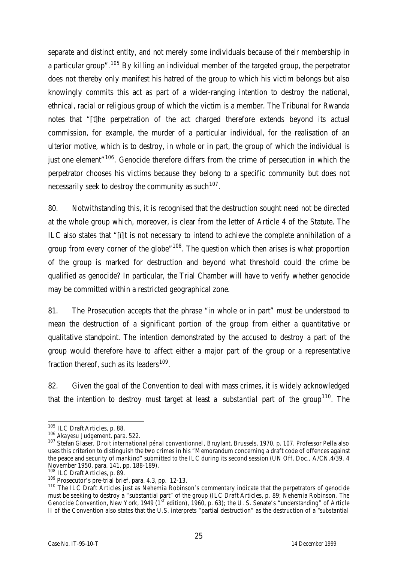separate and distinct entity, and not merely some individuals because of their membership in a particular group".<sup>105</sup> By killing an individual member of the targeted group, the perpetrator does not thereby only manifest his hatred of the group to which his victim belongs but also knowingly commits this act as part of a wider-ranging intention to destroy the national, ethnical, racial or religious group of which the victim is a member. The Tribunal for Rwanda notes that "[t]he perpetration of the act charged therefore extends beyond its actual commission, for example, the murder of a particular individual, for the realisation of an ulterior motive, which is to destroy, in whole or in part, the group of which the individual is just one element<sup>"106</sup>. Genocide therefore differs from the crime of persecution in which the perpetrator chooses his victims because they belong to a specific community but does not necessarily seek to destroy the community as such  $^{107}$ .

80. Notwithstanding this, it is recognised that the destruction sought need not be directed at the whole group which, moreover, is clear from the letter of Article 4 of the Statute. The ILC also states that "[i]t is not necessary to intend to achieve the complete annihilation of a group from every corner of the globe"<sup>108</sup>. The question which then arises is what proportion of the group is marked for destruction and beyond what threshold could the crime be qualified as genocide? In particular, the Trial Chamber will have to verify whether genocide may be committed within a restricted geographical zone.

81. The Prosecution accepts that the phrase "in whole or in part" must be understood to mean the destruction of a significant portion of the group from either a quantitative or qualitative standpoint. The intention demonstrated by the accused to destroy a part of the group would therefore have to affect either a major part of the group or a representative fraction thereof, such as its leaders<sup>109</sup>.

82. Given the goal of the Convention to deal with mass crimes, it is widely acknowledged that the intention to destroy must target at least a *substantial* part of the group<sup>110</sup>. The

 $\overline{a}$ <sup>105</sup> ILC Draft Articles, p. 88.

<sup>106</sup> *Akayesu* Judgement, para. 522.

<sup>107</sup> Stefan Glaser, *Droit international pénal conventionnel*, Bruylant, Brussels, 1970, p. 107. Professor Pella also uses this criterion to distinguish the two crimes in his "Memorandum concerning a draft code of offences against the peace and security of mankind" submitted to the ILC during its second session (UN Off. Doc., A/CN.4/39, 4 November 1950, para. 141, pp. 188-189).

<sup>108</sup> ILC Draft Articles, p. 89.

<sup>109</sup> Prosecutor's pre-trial brief, para. 4.3, pp. 12-13.

<sup>110</sup> The ILC Draft Articles just as Nehemia Robinson's commentary indicate that the perpetrators of genocide must be seeking to destroy a "substantial part" of the group (ILC Draft Articles, p. 89; Nehemia Robinson, *The Genocide Convention*, New York, 1949 (1<sup>st</sup> edition), 1960, p. 63); the U. S. Senate's "understanding" of Article II of the Convention also states that the U.S. interprets "partial destruction" as the destruction of a "*substantial*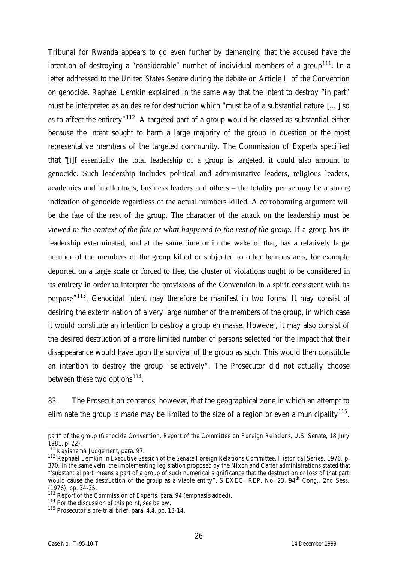Tribunal for Rwanda appears to go even further by demanding that the accused have the intention of destroying a "considerable" number of individual members of a group<sup>111</sup>. In a letter addressed to the United States Senate during the debate on Article II of the Convention on genocide, Raphaël Lemkin explained in the same way that the intent to destroy "in part" must be interpreted as an desire for destruction which "must be of a substantial nature […] so as to affect the entirety"<sup>112</sup>. A targeted part of a group would be classed as substantial either because the intent sought to harm a large majority of the group in question or the most representative members of the targeted community. The Commission of Experts specified that "[i]f essentially the total leadership of a group is targeted, it could also amount to genocide. Such leadership includes political and administrative leaders, religious leaders, academics and intellectuals, business leaders and others – the totality per se may be a strong indication of genocide regardless of the actual numbers killed. A corroborating argument will be the fate of the rest of the group. The character of the attack on the leadership must be *viewed in the context of the fate or what happened to the rest of the group*. If a group has its leadership exterminated, and at the same time or in the wake of that, has a relatively large number of the members of the group killed or subjected to other heinous acts, for example deported on a large scale or forced to flee, the cluster of violations ought to be considered in its entirety in order to interpret the provisions of the Convention in a spirit consistent with its purpose"<sup>113</sup>. Genocidal intent may therefore be manifest in two forms. It may consist of desiring the extermination of a very large number of the members of the group, in which case it would constitute an intention to destroy a group en masse. However, it may also consist of the desired destruction of a more limited number of persons selected for the impact that their disappearance would have upon the survival of the group as such. This would then constitute an intention to destroy the group "selectively". The Prosecutor did not actually choose between these two options<sup>114</sup>.

83. The Prosecution contends, however, that the geographical zone in which an attempt to eliminate the group is made may be limited to the size of a region or even a municipality $^{115}$ .

l

part" of the group (*Genocide Convention, Report of the Committee on Foreign Relations*, U.S. Senate, 18 July 1981, p. 22).

<sup>111</sup> *Kayishema* Judgement, para. 97.

<sup>112</sup> Raphaël Lemkin in *Executive Session of the Senate Foreign Relations Committee, Historical Series*, 1976, p. 370. In the same vein, the implementing legislation proposed by the Nixon and Carter administrations stated that "'substantial part' means a part of a group of such numerical significance that the destruction or loss of that part would cause the destruction of the group as a viable entity", S EXEC. REP. No. 23, 94<sup>th</sup> Cong., 2nd Sess. (1976), pp. 34-35.

<sup>&</sup>lt;sup>113</sup> Report of the Commission of Experts, para. 94 (emphasis added).

<sup>114</sup> For the discussion of this point, see below.

<sup>115</sup> Prosecutor's pre-trial brief, para. 4.4, pp. 13-14.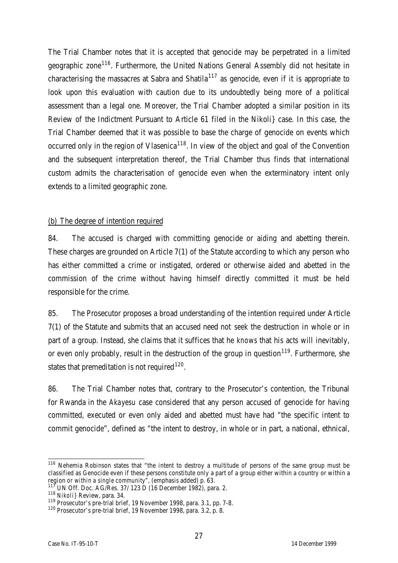The Trial Chamber notes that it is accepted that genocide may be perpetrated in a limited geographic zone<sup>116</sup>. Furthermore, the United Nations General Assembly did not hesitate in characterising the massacres at Sabra and Shatila<sup>117</sup> as genocide, even if it is appropriate to look upon this evaluation with caution due to its undoubtedly being more of a political assessment than a legal one. Moreover, the Trial Chamber adopted a similar position in its Review of the Indictment Pursuant to Article 61 filed in the Nikoli} case. In this case, the Trial Chamber deemed that it was possible to base the charge of genocide on events which occurred only in the region of Vlasenica<sup>118</sup>. In view of the object and goal of the Convention and the subsequent interpretation thereof, the Trial Chamber thus finds that international custom admits the characterisation of genocide even when the exterminatory intent only extends to a limited geographic zone.

#### (b) The degree of intention required

84. The accused is charged with committing genocide or aiding and abetting therein. These charges are grounded on Article 7(1) of the Statute according to which any person who has either committed a crime or instigated, ordered or otherwise aided and abetted in the commission of the crime without having himself directly committed it must be held responsible for the crime.

85. The Prosecutor proposes a broad understanding of the intention required under Article 7(1) of the Statute and submits that an accused need not *seek* the destruction in whole or in part of a group. Instead, she claims that it suffices that he *knows* that his acts will inevitably, or even only probably, result in the destruction of the group in question<sup>119</sup>. Furthermore, she states that premeditation is not required<sup>120</sup>.

86. The Trial Chamber notes that, contrary to the Prosecutor's contention, the Tribunal for Rwanda in the *Akayesu* case considered that any person accused of genocide for having committed, executed or even only aided and abetted must have had "the specific intent to commit genocide", defined as "the intent to destroy, in whole or in part, a national, ethnical,

 $\overline{a}$ <sup>116</sup> Nehemia Robinson states that "the intent to destroy a multitude of persons of the same group must be classified as Genocide even if these persons constitute only a part of a group either within a country or within a region *or within a single community*", (emphasis added) p. 63.

<sup>117</sup> UN Off. Doc. AG/Res. 37/ 123 D (16 December 1982), para. 2.

<sup>118</sup> *Nikoli}* Review, para. 34.

<sup>119</sup> Prosecutor's pre-trial brief, 19 November 1998, para. 3.1, pp. 7-8.

<sup>120</sup> Prosecutor's pre-trial brief, 19 November 1998, para. 3.2, p. 8.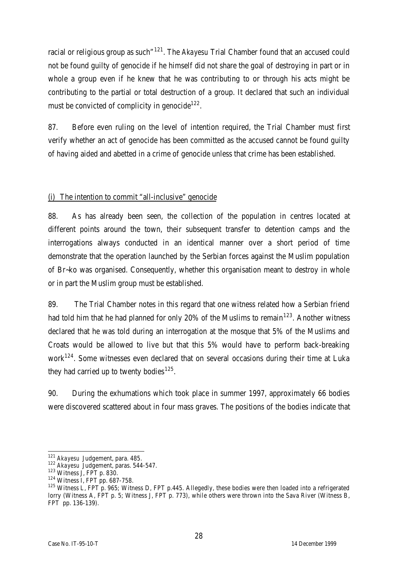racial or religious group as such<sup>"121</sup>. The Akayesu Trial Chamber found that an accused could not be found guilty of genocide if he himself did not share the goal of destroying in part or in whole a group even if he knew that he was contributing to or through his acts might be contributing to the partial or total destruction of a group. It declared that such an individual must be convicted of complicity in genocide $^{122}.$ 

87. Before even ruling on the level of intention required, the Trial Chamber must first verify whether an act of genocide has been committed as the accused cannot be found guilty of having aided and abetted in a crime of genocide unless that crime has been established.

## (i) The intention to commit "all-inclusive" genocide

88. As has already been seen, the collection of the population in centres located at different points around the town, their subsequent transfer to detention camps and the interrogations always conducted in an identical manner over a short period of time demonstrate that the operation launched by the Serbian forces against the Muslim population of Br~ko was organised. Consequently, whether this organisation meant to destroy in whole or in part the Muslim group must be established.

89. The Trial Chamber notes in this regard that one witness related how a Serbian friend had told him that he had planned for only 20% of the Muslims to remain<sup>123</sup>. Another witness declared that he was told during an interrogation at the mosque that 5% of the Muslims and Croats would be allowed to live but that this 5% would have to perform back-breaking work<sup>124</sup>. Some witnesses even declared that on several occasions during their time at Luka they had carried up to twenty bodies<sup>125</sup>.

90. During the exhumations which took place in summer 1997, approximately 66 bodies were discovered scattered about in four mass graves. The positions of the bodies indicate that

 $\overline{a}$ <sup>121</sup> *Akayesu* Judgement, para. 485.

<sup>122</sup> *Akayesu* Judgement, paras. 544-547.

<sup>123</sup> Witness J, FPT p. 830.

<sup>124</sup> Witness I, FPT pp. 687-758.

<sup>&</sup>lt;sup>125</sup> Witness L, FPT p. 965; Witness D, FPT p.445. Allegedly, these bodies were then loaded into a refrigerated lorry (Witness A, FPT p. 5; Witness J, FPT p. 773), while others were thrown into the Sava River (Witness B, FPT pp. 136-139).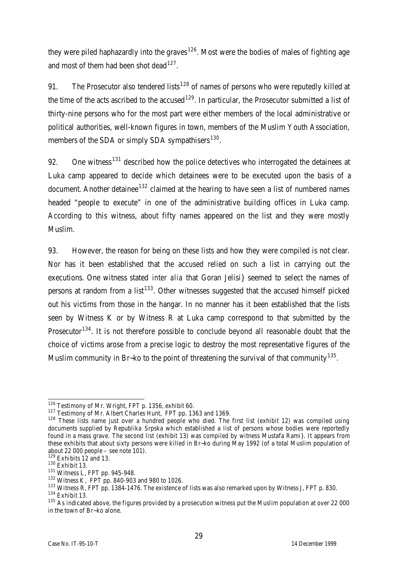they were piled haphazardly into the graves<sup>126</sup>. Most were the bodies of males of fighting age and most of them had been shot dead<sup>127</sup>.

91. The Prosecutor also tendered lists<sup>128</sup> of names of persons who were reputedly killed at the time of the acts ascribed to the accused<sup>129</sup>. In particular, the Prosecutor submitted a list of thirty-nine persons who for the most part were either members of the local administrative or political authorities, well-known figures in town, members of the Muslim Youth Association, members of the SDA or simply SDA sympathisers<sup>130</sup>.

92. One witness<sup>131</sup> described how the police detectives who interrogated the detainees at Luka camp appeared to decide which detainees were to be executed upon the basis of a document. Another detainee<sup>132</sup> claimed at the hearing to have seen a list of numbered names headed "people to execute" in one of the administrative building offices in Luka camp. According to this witness, about fifty names appeared on the list and they were mostly Muslim.

93. However, the reason for being on these lists and how they were compiled is not clear. Nor has it been established that the accused relied on such a list in carrying out the executions. One witness stated *inter alia* that Goran Jelisi} seemed to select the names of persons at random from a list<sup>133</sup>. Other witnesses suggested that the accused himself picked out his victims from those in the hangar. In no manner has it been established that the lists seen by Witness K or by Witness R at Luka camp correspond to that submitted by the Prosecutor<sup>134</sup>. It is not therefore possible to conclude beyond all reasonable doubt that the choice of victims arose from a precise logic to destroy the most representative figures of the Muslim community in Br~ko to the point of threatening the survival of that community  $^{135}$ .

 $\overline{a}$ <sup>126</sup> Testimony of Mr. Wright, FPT p. 1356, exhibit 60.

<sup>&</sup>lt;sup>127</sup> Testimony of Mr. Albert Charles Hunt, FPT pp. 1363 and 1369.

<sup>128</sup> These lists name just over a hundred people who died. The first list (exhibit 12) was compiled using documents supplied by Republika Srpska which established a list of persons whose bodies were reportedly found in a mass grave. The second list (exhibit 13) was compiled by witness Mustafa Rami}. It appears from these exhibits that about sixty persons were killed in Br~ko during May 1992 (of a total Muslim population of about 22 000 people – see note  $101$ ).

 $129$  Exhibits 12 and 13.

<sup>130</sup> Exhibit 13.

<sup>131</sup> Witness L, FPT pp. 945-948.

<sup>132</sup> Witness K, FPT pp. 840-903 and 980 to 1026.

<sup>&</sup>lt;sup>133</sup> Witness R, FPT pp. 1384-1476. The existence of lists was also remarked upon by Witness J, FPT p. 830. <sup>134</sup> Exhibit 13.

<sup>&</sup>lt;sup>135</sup> As indicated above, the figures provided by a prosecution witness put the Muslim population at over 22 000 in the town of Br~ko alone.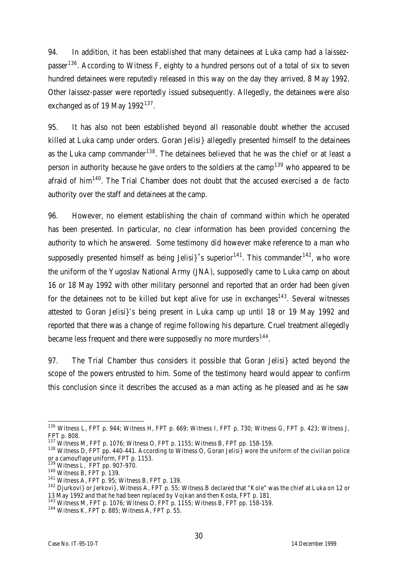94. In addition, it has been established that many detainees at Luka camp had a laissezpasser<sup>136</sup>. According to Witness F, eighty to a hundred persons out of a total of six to seven hundred detainees were reputedly released in this way on the day they arrived, 8 May 1992. Other laissez-passer were reportedly issued subsequently. Allegedly, the detainees were also exchanged as of 19 May 1992 $^{137}$ .

95. It has also not been established beyond all reasonable doubt whether the accused killed at Luka camp under orders. Goran Jelisi} allegedly presented himself to the detainees as the Luka camp commander<sup>138</sup>. The detainees believed that he was the chief or at least a person in authority because he gave orders to the soldiers at the camp<sup>139</sup> who appeared to be afraid of him<sup>140</sup>. The Trial Chamber does not doubt that the accused exercised a *de facto* authority over the staff and detainees at the camp.

96. However, no element establishing the chain of command within which he operated has been presented. In particular, no clear information has been provided concerning the authority to which he answered. Some testimony did however make reference to a man who supposedly presented himself as being Jelisi  $\frac{1}{4}$  is superior<sup>141</sup>. This commander<sup>142</sup>, who wore the uniform of the Yugoslav National Army (JNA), supposedly came to Luka camp on about 16 or 18 May 1992 with other military personnel and reported that an order had been given for the detainees not to be killed but kept alive for use in exchanges<sup>143</sup>. Several witnesses attested to Goran Jelisi}'s being present in Luka camp up until 18 or 19 May 1992 and reported that there was a change of regime following his departure. Cruel treatment allegedly became less frequent and there were supposedly no more murders<sup>144</sup>.

97. The Trial Chamber thus considers it possible that Goran Jelisi} acted beyond the scope of the powers entrusted to him. Some of the testimony heard would appear to confirm this conclusion since it describes the accused as a man acting as he pleased and as he saw

 $\overline{a}$ <sup>136</sup> Witness L, FPT p. 944; Witness H, FPT p. 669; Witness I, FPT p. 730; Witness G, FPT p. 423; Witness J, FPT p. 808.

<sup>137</sup> Witness M, FPT p. 1076; Witness O, FPT p. 1155; Witness B, FPT pp. 158-159.

<sup>&</sup>lt;sup>138</sup> Witness D, FPT pp. 440-441. According to Witness O, Goran Jelisi} wore the uniform of the civilian police or a camouflage uniform, FPT p. 1153.<br> $^{139}$  M/Hns...

Witness L, FPT pp. 907-970.

 $140$  Witness B, FPT p. 139.

<sup>141</sup> Witness A, FPT p. 95; Witness B, FPT p. 139.

<sup>142</sup> Djurkovi} or Jerkovi}, Witness A, FPT p. 55; Witness B declared that "Kole" was the chief at Luka on 12 or 13 May 1992 and that he had been replaced by Vojkan and then Kosta, FPT p. 181.

<sup>143</sup> Witness M, FPT p. 1076; Witness O, FPT p. 1155; Witness B, FPT pp. 158-159.

<sup>144</sup> Witness K, FPT p. 885; Witness A, FPT p. 55.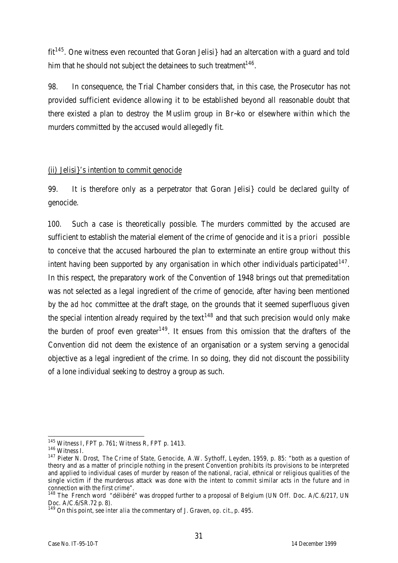$fit<sup>145</sup>$ . One witness even recounted that Goran Jelisi} had an altercation with a guard and told him that he should not subject the detainees to such treatment $^{146}$ .

98. In consequence, the Trial Chamber considers that, in this case, the Prosecutor has not provided sufficient evidence allowing it to be established beyond all reasonable doubt that there existed a plan to destroy the Muslim group in Br~ko or elsewhere within which the murders committed by the accused would allegedly fit.

## (ii) Jelisi}'s intention to commit genocide

99. It is therefore only as a perpetrator that Goran Jelisi} could be declared guilty of genocide.

100. Such a case is theoretically possible. The murders committed by the accused are sufficient to establish the material element of the crime of genocide and it is *a priori* possible to conceive that the accused harboured the plan to exterminate an entire group without this intent having been supported by any organisation in which other individuals participated  $147$ . In this respect, the preparatory work of the Convention of 1948 brings out that premeditation was not selected as a legal ingredient of the crime of genocide, after having been mentioned by the *ad hoc* committee at the draft stage, on the grounds that it seemed superfluous given the special intention already required by the text<sup>148</sup> and that such precision would only make the burden of proof even greater<sup>149</sup>. It ensues from this omission that the drafters of the Convention did not deem the existence of an organisation or a system serving a genocidal objective as a legal ingredient of the crime. In so doing, they did not discount the possibility of a lone individual seeking to destroy a group as such.

 $\overline{a}$  $145$  Witness I, FPT p. 761; Witness R, FPT p. 1413.

<sup>146</sup> Witness I.

<sup>147</sup> Pieter N. Drost, *The Crime of State, Genocide,* A.W. Sythoff, Leyden, 1959, p. 85: "both as a question of theory and as a matter of principle nothing in the present Convention prohibits its provisions to be interpreted and applied to individual cases of murder by reason of the national, racial, ethnical or religious qualities of the single victim if the murderous attack was done with the intent to commit similar acts in the future and in connection with the first crime".

<sup>148</sup> The French word "délibéré" was dropped further to a proposal of Belgium (UN Off. Doc. A/C.6/217, UN Doc. A/C.6/SR.72 p. 8).

<sup>149</sup> On this point, see *inter alia* the commentary of J. Graven, *op. cit.*, p. 495.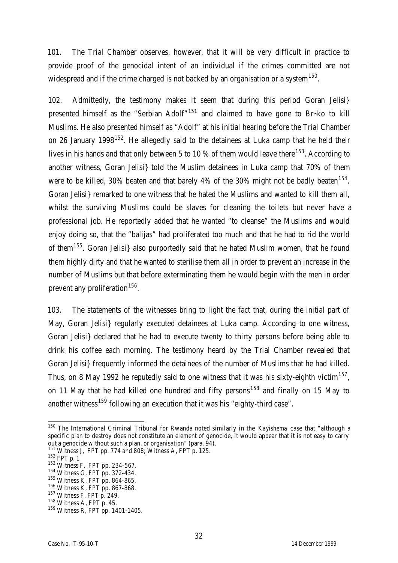101. The Trial Chamber observes, however, that it will be very difficult in practice to provide proof of the genocidal intent of an individual if the crimes committed are not widespread and if the crime charged is not backed by an organisation or a system $^{150}.$ 

102. Admittedly, the testimony makes it seem that during this period Goran Jelisi} presented himself as the "Serbian Adolf"<sup>151</sup> and claimed to have gone to Br~ko to kill Muslims. He also presented himself as "Adolf" at his initial hearing before the Trial Chamber on 26 January 1998<sup>152</sup>. He allegedly said to the detainees at Luka camp that he held their lives in his hands and that only between 5 to 10 % of them would leave there<sup>153</sup>. According to another witness, Goran Jelisi} told the Muslim detainees in Luka camp that 70% of them were to be killed, 30% beaten and that barely 4% of the 30% might not be badly beaten $^{154}$ . Goran Jelisi} remarked to one witness that he hated the Muslims and wanted to kill them all, whilst the surviving Muslims could be slaves for cleaning the toilets but never have a professional job. He reportedly added that he wanted "to cleanse" the Muslims and would enjoy doing so, that the "balijas" had proliferated too much and that he had to rid the world of them<sup>155</sup>. Goran Jelisi} also purportedly said that he hated Muslim women, that he found them highly dirty and that he wanted to sterilise them all in order to prevent an increase in the number of Muslims but that before exterminating them he would begin with the men in order prevent any proliferation<sup>156</sup>.

103. The statements of the witnesses bring to light the fact that, during the initial part of May, Goran Jelisi} regularly executed detainees at Luka camp. According to one witness, Goran Jelisi} declared that he had to execute twenty to thirty persons before being able to drink his coffee each morning. The testimony heard by the Trial Chamber revealed that Goran Jelisi} frequently informed the detainees of the number of Muslims that he had killed. Thus, on 8 May 1992 he reputedly said to one witness that it was his sixty-eighth victim $^{157}$ , on 11 May that he had killed one hundred and fifty persons<sup>158</sup> and finally on 15 May to another witness<sup>159</sup> following an execution that it was his "eighty-third case".

 $\overline{a}$ <sup>150</sup> The International Criminal Tribunal for Rwanda noted similarly in the *Kayishema* case that "although a specific plan to destroy does not constitute an element of genocide, it would appear that it is not easy to carry out a genocide without such a plan, or organisation" (para. 94).

<sup>&</sup>lt;sup>151</sup> Witness J, FPT pp. 774 and 808; Witness A, FPT p. 125.

<sup>152</sup> FPT p. 1

<sup>&</sup>lt;sup>153</sup> Witness F, FPT pp. 234-567.

<sup>&</sup>lt;sup>154</sup> Witness G, FPT pp. 372-434.

<sup>155</sup> Witness K, FPT pp. 864-865.

<sup>156</sup> Witness K, FPT pp. 867-868.

<sup>157</sup> Witness F, FPT p. 249.

<sup>158</sup> Witness A, FPT p. 45.

<sup>159</sup> Witness R, FPT pp. 1401-1405.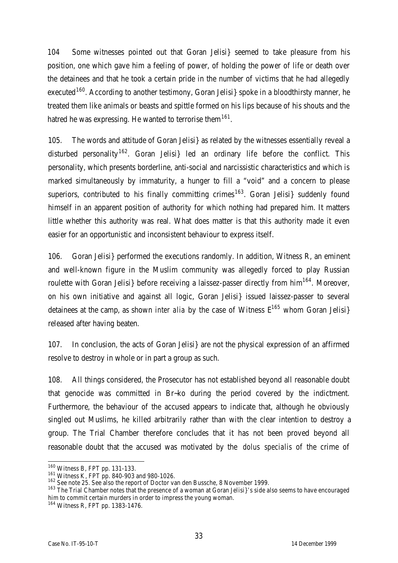104 Some witnesses pointed out that Goran Jelisi} seemed to take pleasure from his position, one which gave him a feeling of power, of holding the power of life or death over the detainees and that he took a certain pride in the number of victims that he had allegedly executed<sup>160</sup>. According to another testimony, Goran Jelisi spoke in a bloodthirsty manner, he treated them like animals or beasts and spittle formed on his lips because of his shouts and the hatred he was expressing. He wanted to terrorise them<sup>161</sup>.

105. The words and attitude of Goran Jelisi} as related by the witnesses essentially reveal a disturbed personality<sup>162</sup>. Goran Jelisi} led an ordinary life before the conflict. This personality, which presents borderline, anti-social and narcissistic characteristics and which is marked simultaneously by immaturity, a hunger to fill a "void" and a concern to please superiors, contributed to his finally committing crimes<sup>163</sup>. Goran Jelisi suddenly found himself in an apparent position of authority for which nothing had prepared him. It matters little whether this authority was real. What does matter is that this authority made it even easier for an opportunistic and inconsistent behaviour to express itself.

106. Goran Jelisi} performed the executions randomly. In addition, Witness R, an eminent and well-known figure in the Muslim community was allegedly forced to play Russian roulette with Goran Jelisi} before receiving a laissez-passer directly from  $him<sup>164</sup>$ . Moreover, on his own initiative and against all logic, Goran Jelisi} issued laissez-passer to several detainees at the camp, as shown *inter alia* by the case of Witness  $E^{165}$  whom Goran Jelisi} released after having beaten.

107. In conclusion, the acts of Goran Jelisi} are not the physical expression of an affirmed resolve to destroy in whole or in part a group as such.

108. All things considered, the Prosecutor has not established beyond all reasonable doubt that genocide was committed in Br~ko during the period covered by the indictment. Furthermore, the behaviour of the accused appears to indicate that, although he obviously singled out Muslims, he killed arbitrarily rather than with the clear intention to destroy a group. The Trial Chamber therefore concludes that it has not been proved beyond all reasonable doubt that the accused was motivated by the *dolus specialis* of the crime of

 $\overline{a}$ 

<sup>&</sup>lt;sup>160</sup> Witness B, FPT pp. 131-133.

<sup>161</sup> Witness K, FPT pp. 840-903 and 980-1026.

<sup>162</sup> See note 25. See also the report of Doctor van den Bussche, 8 November 1999.

<sup>&</sup>lt;sup>163</sup> The Trial Chamber notes that the presence of a woman at Goran Jelisi}'s side also seems to have encouraged him to commit certain murders in order to impress the young woman.

<sup>164</sup> Witness R, FPT pp. 1383-1476.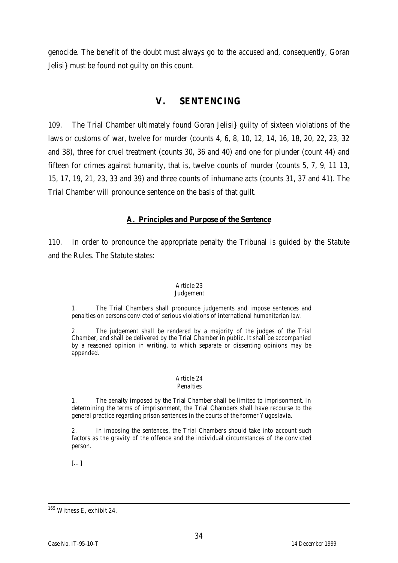genocide. The benefit of the doubt must always go to the accused and, consequently, Goran Jelisi} must be found not guilty on this count.

## **V. SENTENCING**

109. The Trial Chamber ultimately found Goran Jelisi} guilty of sixteen violations of the laws or customs of war, twelve for murder (counts 4, 6, 8, 10, 12, 14, 16, 18, 20, 22, 23, 32 and 38), three for cruel treatment (counts 30, 36 and 40) and one for plunder (count 44) and fifteen for crimes against humanity, that is, twelve counts of murder (counts 5, 7, 9, 11 13, 15, 17, 19, 21, 23, 33 and 39) and three counts of inhumane acts (counts 31, 37 and 41). The Trial Chamber will pronounce sentence on the basis of that guilt.

## **A. Principles and Purpose of the Sentence**

110. In order to pronounce the appropriate penalty the Tribunal is guided by the Statute and the Rules. The Statute states:

#### Article 23

#### Judgement

1. The Trial Chambers shall pronounce judgements and impose sentences and penalties on persons convicted of serious violations of international humanitarian law.

2. The judgement shall be rendered by a majority of the judges of the Trial Chamber, and shall be delivered by the Trial Chamber in public. It shall be accompanied by a reasoned opinion in writing, to which separate or dissenting opinions may be appended.

#### Article 24 Penalties

The penalty imposed by the Trial Chamber shall be limited to imprisonment. In determining the terms of imprisonment, the Trial Chambers shall have recourse to the general practice regarding prison sentences in the courts of the former Yugoslavia.

2. In imposing the sentences, the Trial Chambers should take into account such factors as the gravity of the offence and the individual circumstances of the convicted person.

[…]

 $\overline{a}$ <sup>165</sup> Witness E, exhibit 24.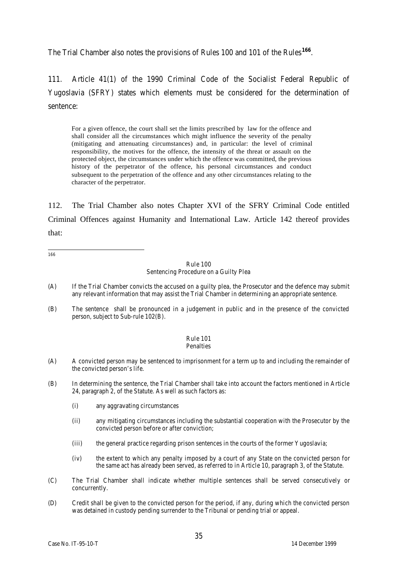The Trial Chamber also notes the provisions of Rules 100 and 101 of the Rules<sup>166</sup>.

111. Article 41(1) of the 1990 Criminal Code of the Socialist Federal Republic of Yugoslavia (SFRY) states which elements must be considered for the determination of sentence:

For a given offence, the court shall set the limits prescribed by law for the offence and shall consider all the circumstances which might influence the severity of the penalty (mitigating and attenuating circumstances) and, in particular: the level of criminal responsibility, the motives for the offence, the intensity of the threat or assault on the protected object, the circumstances under which the offence was committed, the previous history of the perpetrator of the offence, his personal circumstances and conduct subsequent to the perpetration of the offence and any other circumstances relating to the character of the perpetrator.

112. The Trial Chamber also notes Chapter XVI of the SFRY Criminal Code entitled Criminal Offences against Humanity and International Law. Article 142 thereof provides that:

166

Rule 100 Sentencing Procedure on a Guilty Plea

- (A) If the Trial Chamber convicts the accused on a guilty plea, the Prosecutor and the defence may submit any relevant information that may assist the Trial Chamber in determining an appropriate sentence.
- (B) The sentence shall be pronounced in a judgement in public and in the presence of the convicted person, subject to Sub-rule 102(B).

#### Rule 101 Penalties

- (A) A convicted person may be sentenced to imprisonment for a term up to and including the remainder of the convicted person's life.
- (B) In determining the sentence, the Trial Chamber shall take into account the factors mentioned in Article 24, paragraph 2, of the Statute. As well as such factors as:
	- (i) any aggravating circumstances
	- (ii) any mitigating circumstances including the substantial cooperation with the Prosecutor by the convicted person before or after conviction;
	- (iii) the general practice regarding prison sentences in the courts of the former Yugoslavia;
	- (iv) the extent to which any penalty imposed by a court of any State on the convicted person for the same act has already been served, as referred to in Article 10, paragraph 3, of the Statute.
- (C) The Trial Chamber shall indicate whether multiple sentences shall be served consecutively or concurrently.
- (D) Credit shall be given to the convicted person for the period, if any, during which the convicted person was detained in custody pending surrender to the Tribunal or pending trial or appeal.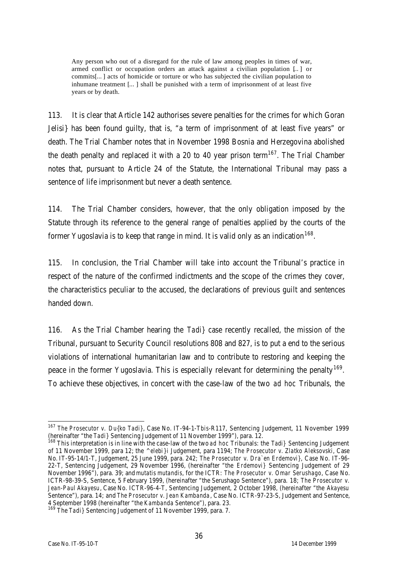Any person who out of a disregard for the rule of law among peoples in times of war, armed conflict or occupation orders an attack against a civilian population […] or commits[…] acts of homicide or torture or who has subjected the civilian population to inhumane treatment […] shall be punished with a term of imprisonment of at least five years or by death.

113. It is clear that Article 142 authorises severe penalties for the crimes for which Goran Jelisi} has been found guilty, that is, "a term of imprisonment of at least five years" or death. The Trial Chamber notes that in November 1998 Bosnia and Herzegovina abolished the death penalty and replaced it with a 20 to 40 year prison term<sup>167</sup>. The Trial Chamber notes that, pursuant to Article 24 of the Statute, the International Tribunal may pass a sentence of life imprisonment but never a death sentence.

114. The Trial Chamber considers, however, that the only obligation imposed by the Statute through its reference to the general range of penalties applied by the courts of the former Yugoslavia is to keep that range in mind. It is valid only as an indication  $^{168}$ .

115. In conclusion, the Trial Chamber will take into account the Tribunal's practice in respect of the nature of the confirmed indictments and the scope of the crimes they cover, the characteristics peculiar to the accused, the declarations of previous guilt and sentences handed down.

116. As the Trial Chamber hearing the *Tadi}* case recently recalled, the mission of the Tribunal, pursuant to Security Council resolutions 808 and 827, is to put a end to the serious violations of international humanitarian law and to contribute to restoring and keeping the peace in the former Yugoslavia. This is especially relevant for determining the penalty<sup>169</sup>. To achieve these objectives, in concert with the case-law of the two *ad hoc* Tribunals, the

 $\overline{a}$ <sup>167</sup> *The Prosecutor v. Du{ko Tadi}*, Case No. IT-94-1-T*bis*-R117, Sentencing Judgement, 11 November 1999 (hereinafter "the *Tadi}* Sentencing Judgement of 11 November 1999"), para. 12.

<sup>168</sup> This interpretation is in line with the case-law of the two *ad hoc* Tribunals: the *Tadi}* Sentencing Judgement of 11 November 1999, para 12; the *^elebi}i* Judgement, para 1194; *The Prosecutor v. Zlatko Aleksovski*, Case No. IT-95-14/1-T, Judgement, 25 June 1999, para. 242; *The Prosecutor v. Dra`en Erdemovi}*, Case No. IT-96- 22-T, Sentencing Judgement, 29 November 1996, (hereinafter "the *Erdemovi}* Sentencing Judgement of 29 November 1996"), para. 39; and *mutatis mutandis*, for the ICTR: *The Prosecutor v. Omar Serushago*, Case No. ICTR-98-39-S, Sentence, 5 February 1999, (hereinafter "the Serushago Sentence"), para. 18; *The Prosecutor v. Jean-Paul Akayesu*, Case No. ICTR-96-4-T, Sentencing Judgement, 2 October 1998, (hereinafter "the *Akayesu* Sentence"), para. 14; and *The Prosecutor v. Jean Kambanda*, Case No. ICTR-97-23-S, Judgement and Sentence, 4 September 1998 (hereinafter "the *Kambanda* Sentence"), para. 23.

<sup>169</sup> The *Tadi}* Sentencing Judgement of 11 November 1999, para. 7.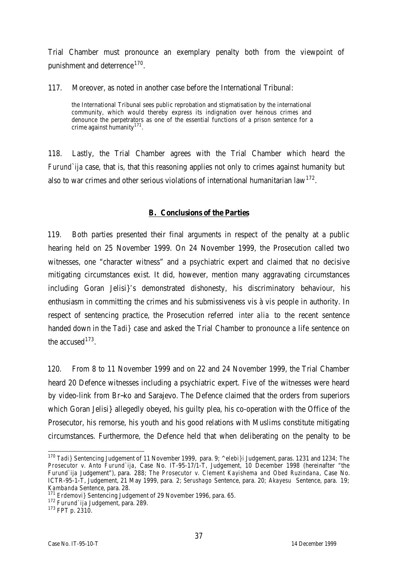Trial Chamber must pronounce an exemplary penalty both from the viewpoint of punishment and deterrence<sup>170</sup>.

117. Moreover, as noted in another case before the International Tribunal:

the International Tribunal sees public reprobation and stigmatisation by the international community, which would thereby express its indignation over heinous crimes and denounce the perpetrators as one of the essential functions of a prison sentence for a crime against humanity<sup>171</sup>.

118. Lastly, the Trial Chamber agrees with the Trial Chamber which heard the *Furund`ija* case, that is, that this reasoning applies not only to crimes against humanity but also to war crimes and other serious violations of international humanitarian law $^{172}.$ 

#### **B. Conclusions of the Parties**

119. Both parties presented their final arguments in respect of the penalty at a public hearing held on 25 November 1999. On 24 November 1999, the Prosecution called two witnesses, one "character witness" and a psychiatric expert and claimed that no decisive mitigating circumstances exist. It did, however, mention many aggravating circumstances including Goran Jelisi}'s demonstrated dishonesty, his discriminatory behaviour, his enthusiasm in committing the crimes and his submissiveness vis à vis people in authority. In respect of sentencing practice, the Prosecution referred *inter alia* to the recent sentence handed down in the *Tadi}* case and asked the Trial Chamber to pronounce a life sentence on the accused  $173$ .

120. From 8 to 11 November 1999 and on 22 and 24 November 1999, the Trial Chamber heard 20 Defence witnesses including a psychiatric expert. Five of the witnesses were heard by video-link from Br~ko and Sarajevo. The Defence claimed that the orders from superiors which Goran Jelisi} allegedly obeyed, his guilty plea, his co-operation with the Office of the Prosecutor, his remorse, his youth and his good relations with Muslims constitute mitigating circumstances. Furthermore, the Defence held that when deliberating on the penalty to be

 $\overline{a}$ <sup>170</sup> *Tadi}* Sentencing Judgement of 11 November 1999, para. 9; ^e*lebi}i* Judgement, paras. 1231 and 1234; *The Prosecutor v. Anto Furund`ija*, Case No. IT-95-17/1-T, Judgement, 10 December 1998 (hereinafter "the *Furund`ija* Judgement"), para. 288; *The Prosecutor v. Clement Kayishema and Obed Ruzindana*, Case No. ICTR-95-1-T, Judgement, 21 May 1999, para. 2; *Serushago* Sentence, para. 20; *Akayesu* Sentence, para. 19; *Kambanda* Sentence, para. 28.

**Erdemovi**} Sentencing Judgement of 29 November 1996, para. 65.

<sup>172</sup> *Furund`ija* Judgement, para. 289.

<sup>173</sup> FPT p. 2310.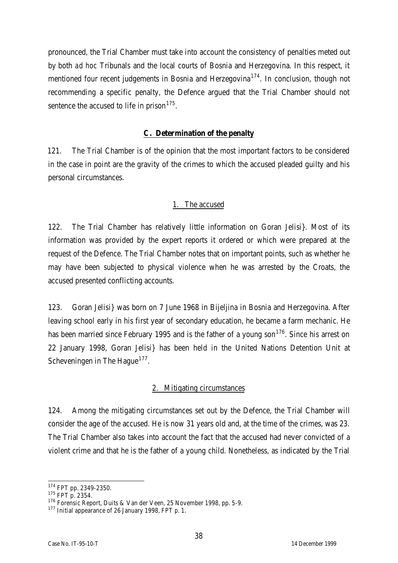pronounced, the Trial Chamber must take into account the consistency of penalties meted out by both *ad hoc* Tribunals and the local courts of Bosnia and Herzegovina. In this respect, it mentioned four recent judgements in Bosnia and Herzegovina<sup>174</sup>. In conclusion, though not recommending a specific penalty, the Defence argued that the Trial Chamber should not sentence the accused to life in prison<sup>175</sup>.

## **C. Determination of the penalty**

121. The Trial Chamber is of the opinion that the most important factors to be considered in the case in point are the gravity of the crimes to which the accused pleaded guilty and his personal circumstances.

## The accused

122. The Trial Chamber has relatively little information on Goran Jelisi}. Most of its information was provided by the expert reports it ordered or which were prepared at the request of the Defence. The Trial Chamber notes that on important points, such as whether he may have been subjected to physical violence when he was arrested by the Croats, the accused presented conflicting accounts.

123. Goran Jelisi} was born on 7 June 1968 in Bijeljina in Bosnia and Herzegovina. After leaving school early in his first year of secondary education, he became a farm mechanic. He has been married since February 1995 and is the father of a young son<sup>176</sup>. Since his arrest on 22 January 1998, Goran Jelisi} has been held in the United Nations Detention Unit at Scheveningen in The Hague<sup>177</sup>.

## 2. Mitigating circumstances

124. Among the mitigating circumstances set out by the Defence, the Trial Chamber will consider the age of the accused. He is now 31 years old and, at the time of the crimes, was 23. The Trial Chamber also takes into account the fact that the accused had never convicted of a violent crime and that he is the father of a young child. Nonetheless, as indicated by the Trial

 $\overline{a}$ <sup>174</sup> FPT pp. 2349-2350.

<sup>&</sup>lt;sup>175</sup> FPT p. 2354.

<sup>176</sup> Forensic Report, Duits & Van der Veen, 25 November 1998, pp. 5-9.

<sup>177</sup> Initial appearance of 26 January 1998, FPT p. 1.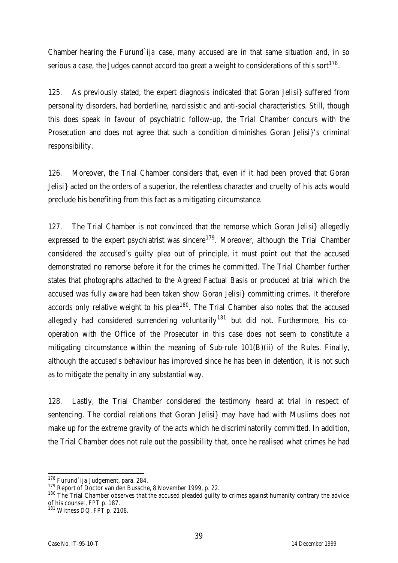Chamber hearing the *Furund`ija* case, many accused are in that same situation and, in so serious a case, the Judges cannot accord too great a weight to considerations of this sort $^{178}.$ 

125. As previously stated, the expert diagnosis indicated that Goran Jelisi} suffered from personality disorders, had borderline, narcissistic and anti-social characteristics. Still, though this does speak in favour of psychiatric follow-up, the Trial Chamber concurs with the Prosecution and does not agree that such a condition diminishes Goran Jelisi}'s criminal responsibility.

126. Moreover, the Trial Chamber considers that, even if it had been proved that Goran Jelisi} acted on the orders of a superior, the relentless character and cruelty of his acts would preclude his benefiting from this fact as a mitigating circumstance.

127. The Trial Chamber is not convinced that the remorse which Goran Jelisi} allegedly expressed to the expert psychiatrist was sincere<sup>179</sup>. Moreover, although the Trial Chamber considered the accused's guilty plea out of principle, it must point out that the accused demonstrated no remorse before it for the crimes he committed. The Trial Chamber further states that photographs attached to the Agreed Factual Basis or produced at trial which the accused was fully aware had been taken show Goran Jelisi} committing crimes. It therefore accords only relative weight to his plea<sup>180</sup>. The Trial Chamber also notes that the accused allegedly had considered surrendering voluntarily<sup>181</sup> but did not. Furthermore, his cooperation with the Office of the Prosecutor in this case does not seem to constitute a mitigating circumstance within the meaning of Sub-rule 101(B)(ii) of the Rules. Finally, although the accused's behaviour has improved since he has been in detention, it is not such as to mitigate the penalty in any substantial way.

128. Lastly, the Trial Chamber considered the testimony heard at trial in respect of sentencing. The cordial relations that Goran Jelisi} may have had with Muslims does not make up for the extreme gravity of the acts which he discriminatorily committed. In addition, the Trial Chamber does not rule out the possibility that, once he realised what crimes he had

 $\overline{a}$ <sup>178</sup> *Furund`ija* Judgement, para. 284.

<sup>179</sup> Report of Doctor van den Bussche, 8 November 1999, p. 22.

<sup>180</sup> The Trial Chamber observes that the accused pleaded guilty to crimes against humanity contrary the advice of his counsel, FPT p. 187.

<sup>181</sup> Witness DQ, FPT p. 2108.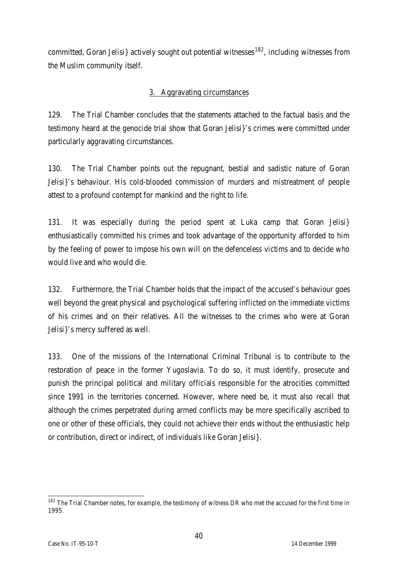committed, Goran Jelisi} actively sought out potential witnesses<sup>182</sup>, including witnesses from the Muslim community itself.

## 3. Aggravating circumstances

129. The Trial Chamber concludes that the statements attached to the factual basis and the testimony heard at the genocide trial show that Goran Jelisi}'s crimes were committed under particularly aggravating circumstances.

130. The Trial Chamber points out the repugnant, bestial and sadistic nature of Goran Jelisi}'s behaviour. His cold-blooded commission of murders and mistreatment of people attest to a profound contempt for mankind and the right to life.

131. It was especially during the period spent at Luka camp that Goran Jelisi} enthusiastically committed his crimes and took advantage of the opportunity afforded to him by the feeling of power to impose his own will on the defenceless victims and to decide who would live and who would die.

132. Furthermore, the Trial Chamber holds that the impact of the accused's behaviour goes well beyond the great physical and psychological suffering inflicted on the immediate victims of his crimes and on their relatives. All the witnesses to the crimes who were at Goran Jelisi}'s mercy suffered as well.

133. One of the missions of the International Criminal Tribunal is to contribute to the restoration of peace in the former Yugoslavia. To do so, it must identify, prosecute and punish the principal political and military officials responsible for the atrocities committed since 1991 in the territories concerned. However, where need be, it must also recall that although the crimes perpetrated during armed conflicts may be more specifically ascribed to one or other of these officials, they could not achieve their ends without the enthusiastic help or contribution, direct or indirect, of individuals like Goran Jelisi}.

 $\overline{a}$ <sup>182</sup> The Trial Chamber notes, for example, the testimony of witness DR who met the accused for the first time in 1995.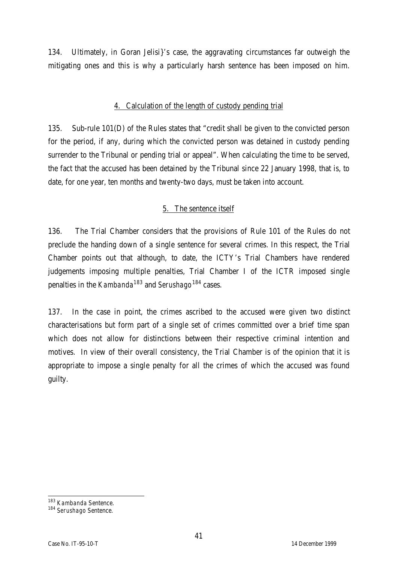134. Ultimately, in Goran Jelisi}'s case, the aggravating circumstances far outweigh the mitigating ones and this is why a particularly harsh sentence has been imposed on him.

#### 4. Calculation of the length of custody pending trial

135. Sub-rule 101(D) of the Rules states that "credit shall be given to the convicted person for the period, if any, during which the convicted person was detained in custody pending surrender to the Tribunal or pending trial or appeal". When calculating the time to be served, the fact that the accused has been detained by the Tribunal since 22 January 1998, that is, to date, for one year, ten months and twenty-two days, must be taken into account.

## 5. The sentence itself

136. The Trial Chamber considers that the provisions of Rule 101 of the Rules do not preclude the handing down of a single sentence for several crimes. In this respect, the Trial Chamber points out that although, to date, the ICTY's Trial Chambers have rendered judgements imposing multiple penalties, Trial Chamber I of the ICTR imposed single penalties in the *Kambanda*<sup>183</sup> and *Serushago*<sup>184</sup> cases.

137. In the case in point, the crimes ascribed to the accused were given two distinct characterisations but form part of a single set of crimes committed over a brief time span which does not allow for distinctions between their respective criminal intention and motives. In view of their overall consistency, the Trial Chamber is of the opinion that it is appropriate to impose a single penalty for all the crimes of which the accused was found guilty.

 $\overline{a}$ <sup>183</sup> *Kambanda* Sentence.

<sup>184</sup> *Serushago* Sentence.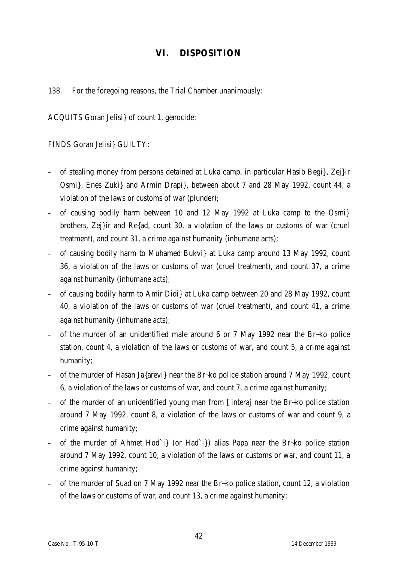# **VI. DISPOSITION**

138. For the foregoing reasons, the Trial Chamber unanimously:

ACQUITS Goran Jelisi} of count 1, genocide:

FINDS Goran Jelisi} GUILTY:

- of stealing money from persons detained at Luka camp, in particular Hasib Begi}, Zej}ir Osmi}, Enes Zuki} and Armin Drapi}, between about 7 and 28 May 1992, count 44, a violation of the laws or customs of war (plunder);
- of causing bodily harm between 10 and 12 May 1992 at Luka camp to the Osmi} brothers, Zej}ir and Re{ad, count 30, a violation of the laws or customs of war (cruel treatment), and count 31, a crime against humanity (inhumane acts);
- of causing bodily harm to Muhamed Bukvi} at Luka camp around 13 May 1992, count 36, a violation of the laws or customs of war (cruel treatment), and count 37, a crime against humanity (inhumane acts);
- of causing bodily harm to Amir Didi} at Luka camp between 20 and 28 May 1992, count 40, a violation of the laws or customs of war (cruel treatment), and count 41, a crime against humanity (inhumane acts);
- of the murder of an unidentified male around 6 or 7 May 1992 near the Br~ko police station, count 4, a violation of the laws or customs of war, and count 5, a crime against humanity;
- of the murder of Hasan Ja{arevi} near the Br~ko police station around 7 May 1992, count 6, a violation of the laws or customs of war, and count 7, a crime against humanity;
- of the murder of an unidentified young man from [interaj near the Br~ko police station around 7 May 1992, count 8, a violation of the laws or customs of war and count 9, a crime against humanity;
- of the murder of Ahmet Hod`i} (or Had`i}) alias Papa near the Br~ko police station around 7 May 1992, count 10, a violation of the laws or customs or war, and count 11, a crime against humanity;
- of the murder of Suad on 7 May 1992 near the Br~ko police station, count 12, a violation of the laws or customs of war, and count 13, a crime against humanity;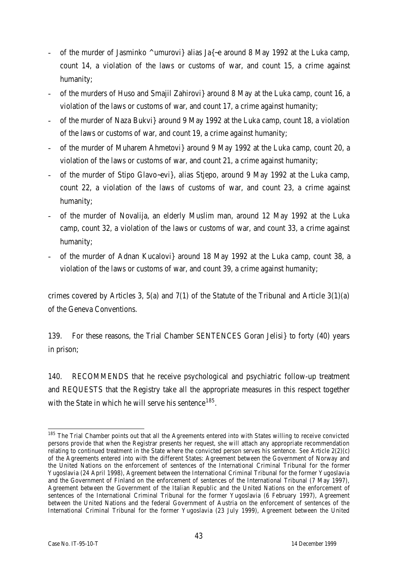- of the murder of Jasminko  $\wedge$ umurovi} alias Ja{ $\sim$ e around 8 May 1992 at the Luka camp, count 14, a violation of the laws or customs of war, and count 15, a crime against humanity;
- of the murders of Huso and Smajil Zahirovi} around 8 May at the Luka camp, count 16, a violation of the laws or customs of war, and count 17, a crime against humanity;
- of the murder of Naza Bukvi} around 9 May 1992 at the Luka camp, count 18, a violation of the laws or customs of war, and count 19, a crime against humanity;
- of the murder of Muharem Ahmetovi} around 9 May 1992 at the Luka camp, count 20, a violation of the laws or customs of war, and count 21, a crime against humanity;
- of the murder of Stipo Glavo~evi}, alias Stjepo, around 9 May 1992 at the Luka camp, count 22, a violation of the laws of customs of war, and count 23, a crime against humanity;
- of the murder of Novalija, an elderly Muslim man, around 12 May 1992 at the Luka camp, count 32, a violation of the laws or customs of war, and count 33, a crime against humanity;
- of the murder of Adnan Kucalovi} around 18 May 1992 at the Luka camp, count 38, a violation of the laws or customs of war, and count 39, a crime against humanity;

crimes covered by Articles 3, 5(a) and 7(1) of the Statute of the Tribunal and Article 3(1)(a) of the Geneva Conventions.

139. For these reasons, the Trial Chamber SENTENCES Goran Jelisi} to forty (40) years in prison;

140. RECOMMENDS that he receive psychological and psychiatric follow-up treatment and REQUESTS that the Registry take all the appropriate measures in this respect together with the State in which he will serve his sentence  $^{185}.$ 

 $\overline{a}$ <sup>185</sup> The Trial Chamber points out that all the Agreements entered into with States willing to receive convicted persons provide that when the Registrar presents her request, she will attach any appropriate recommendation relating to continued treatment in the State where the convicted person serves his sentence. *See* Article 2(2)(c) of the Agreements entered into with the different States: Agreement between the Government of Norway and the United Nations on the enforcement of sentences of the International Criminal Tribunal for the former Yugoslavia (24 April 1998), Agreement between the International Criminal Tribunal for the former Yugoslavia and the Government of Finland on the enforcement of sentences of the International Tribunal (7 May 1997), Agreement between the Government of the Italian Republic and the United Nations on the enforcement of sentences of the International Criminal Tribunal for the former Yugoslavia (6 February 1997), Agreement between the United Nations and the federal Government of Austria on the enforcement of sentences of the International Criminal Tribunal for the former Yugoslavia (23 July 1999), Agreement between the United